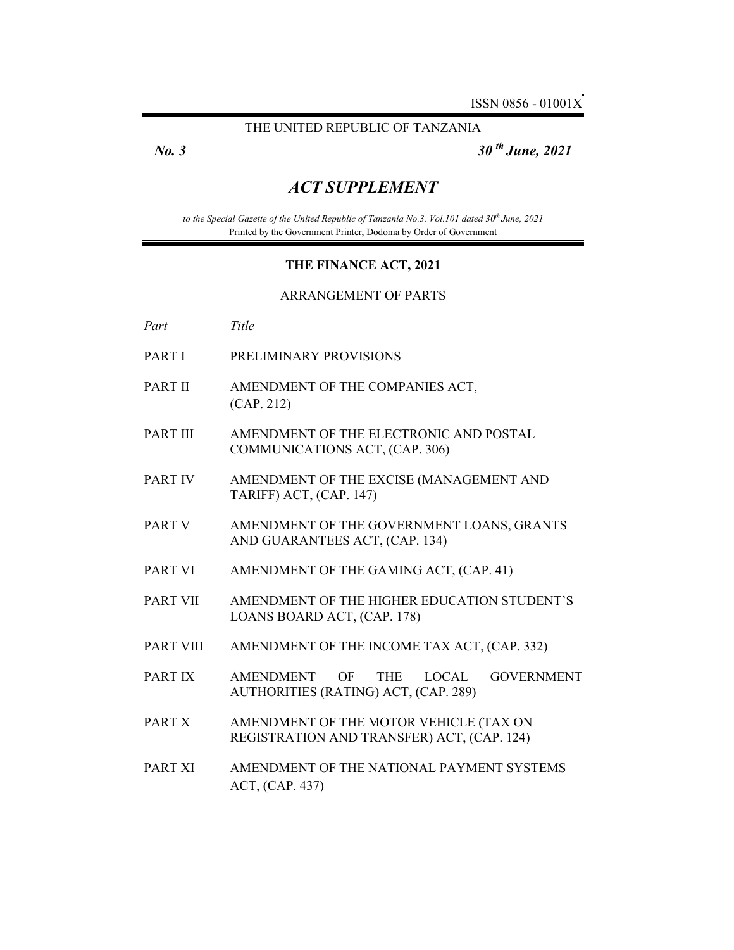# THE UNITED REPUBLIC OF TANZANIA

*No. 3 30 th June, 2021* 

# *ACT SUPPLEMENT*

*to the Special Gazette of the United Republic of Tanzania No.3. Vol.101 dated 30th June, 2021*  Printed by the Government Printer, Dodoma by Order of Government

#### **THE FINANCE ACT, 2021**

#### ARRANGEMENT OF PARTS

*Part Title* 

- PART I PRELIMINARY PROVISIONS
- PART II AMENDMENT OF THE COMPANIES ACT, (CAP. 212)
- PART III AMENDMENT OF THE ELECTRONIC AND POSTAL COMMUNICATIONS ACT, (CAP. 306)
- PART IV AMENDMENT OF THE EXCISE (MANAGEMENT AND TARIFF) ACT, (CAP. 147)
- PART V AMENDMENT OF THE GOVERNMENT LOANS, GRANTS AND GUARANTEES ACT, (CAP. 134)
- PART VI AMENDMENT OF THE GAMING ACT, (CAP. 41)
- PART VII AMENDMENT OF THE HIGHER EDUCATION STUDENT'S LOANS BOARD ACT, (CAP. 178)
- PART VIII AMENDMENT OF THE INCOME TAX ACT, (CAP. 332)
- PART IX AMENDMENT OF THE LOCAL GOVERNMENT AUTHORITIES (RATING) ACT, (CAP. 289)
- PART X AMENDMENT OF THE MOTOR VEHICLE (TAX ON REGISTRATION AND TRANSFER) ACT, (CAP. 124)
- PART XI AMENDMENT OF THE NATIONAL PAYMENT SYSTEMS ACT, (CAP. 437)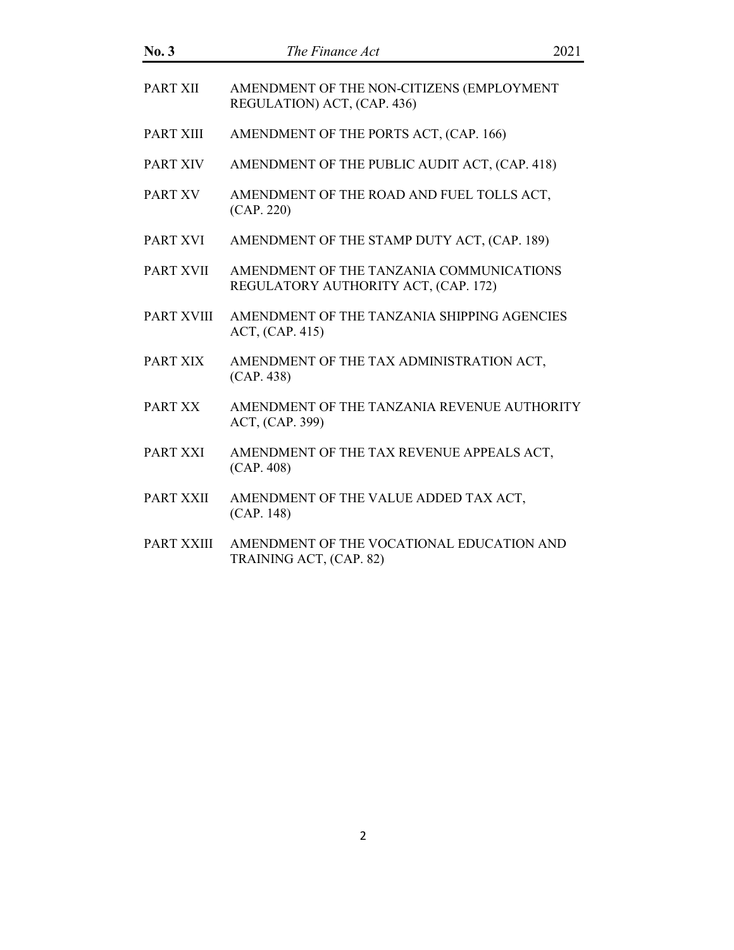| No. 3             | The Finance Act                                                                  | 2021 |
|-------------------|----------------------------------------------------------------------------------|------|
| PART XII          | AMENDMENT OF THE NON-CITIZENS (EMPLOYMENT<br>REGULATION) ACT, (CAP. 436)         |      |
| PART XIII         | AMENDMENT OF THE PORTS ACT, (CAP. 166)                                           |      |
| <b>PART XIV</b>   | AMENDMENT OF THE PUBLIC AUDIT ACT, (CAP. 418)                                    |      |
| <b>PART XV</b>    | AMENDMENT OF THE ROAD AND FUEL TOLLS ACT,<br>(CAP. 220)                          |      |
| PART XVI          | AMENDMENT OF THE STAMP DUTY ACT, (CAP. 189)                                      |      |
| <b>PART XVII</b>  | AMENDMENT OF THE TANZANIA COMMUNICATIONS<br>REGULATORY AUTHORITY ACT, (CAP. 172) |      |
| <b>PART XVIII</b> | AMENDMENT OF THE TANZANIA SHIPPING AGENCIES<br>ACT, (CAP. 415)                   |      |
| PART XIX          | AMENDMENT OF THE TAX ADMINISTRATION ACT,<br>(CAP. 438)                           |      |
| PART XX           | AMENDMENT OF THE TANZANIA REVENUE AUTHORITY<br>ACT, (CAP. 399)                   |      |
| PART XXI          | AMENDMENT OF THE TAX REVENUE APPEALS ACT,<br>(CAP. 408)                          |      |
| PART XXII         | AMENDMENT OF THE VALUE ADDED TAX ACT,<br>(CAP. 148)                              |      |
| PART XXIII        | AMENDMENT OF THE VOCATIONAL EDUCATION AND<br>TRAINING ACT, (CAP. 82)             |      |
|                   |                                                                                  |      |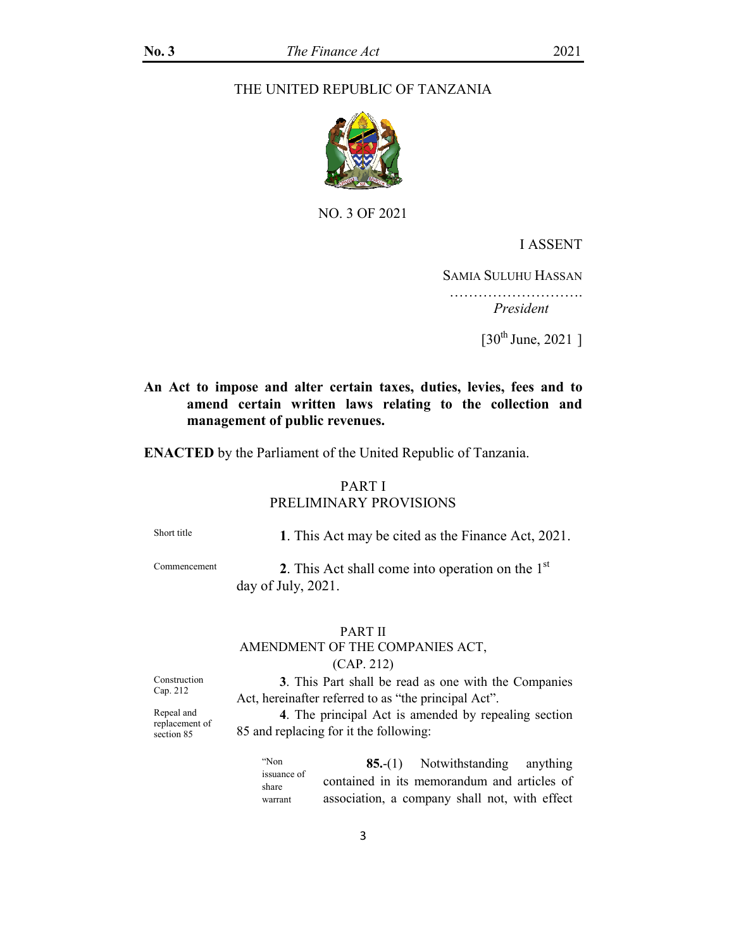# THE UNITED REPUBLIC OF TANZANIA



NO. 3 OF 2021

### I ASSENT

SAMIA SULUHU HASSAN

……………………………  *President* 

[30th June, 2021 ]

# **An Act to impose and alter certain taxes, duties, levies, fees and to amend certain written laws relating to the collection and management of public revenues.**

**ENACTED** by the Parliament of the United Republic of Tanzania.

# PART I

# PRELIMINARY PROVISIONS

Short title **1**. This Act may be cited as the Finance Act, 2021.

 $2$ . This Act shall come into operation on the  $1<sup>st</sup>$ day of July, 2021.

#### PART II

# AMENDMENT OF THE COMPANIES ACT, (CAP. 212)

Construction Cap. 212

**3**. This Part shall be read as one with the Companies Act, hereinafter referred to as "the principal Act".

Repeal and replacement of section 85

**4**. The principal Act is amended by repealing section 85 and replacing for it the following:

"Non issuance of share warrant **85.**-(1) Notwithstanding anything contained in its memorandum and articles of association, a company shall not, with effect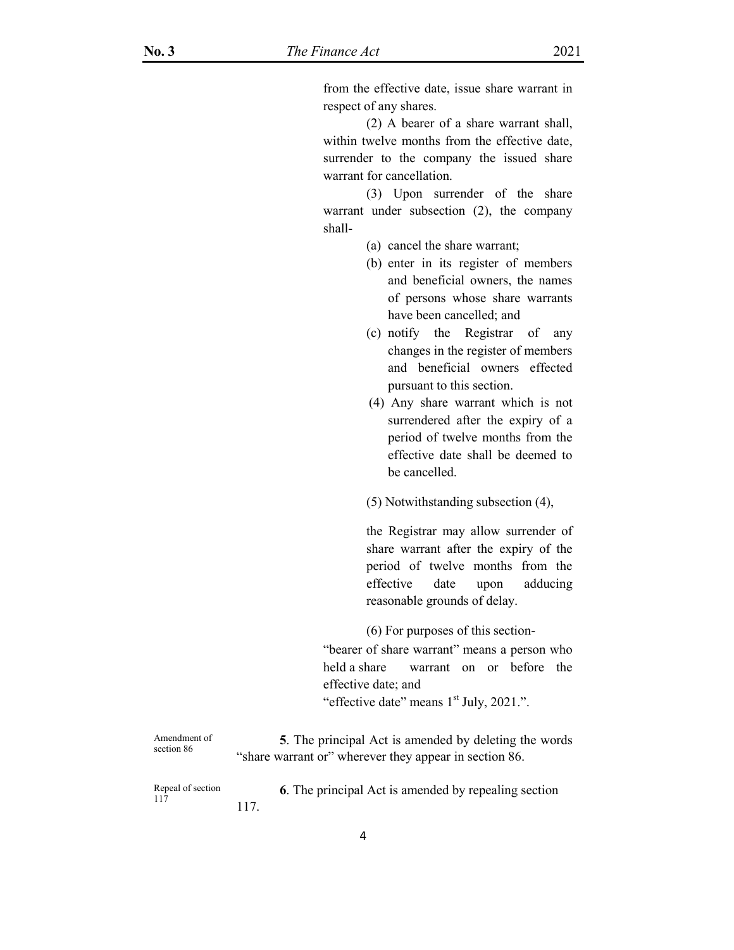from the effective date, issue share warrant in respect of any shares.

 (2) A bearer of a share warrant shall, within twelve months from the effective date, surrender to the company the issued share warrant for cancellation.

 (3) Upon surrender of the share warrant under subsection (2), the company shall-

- (a) cancel the share warrant;
- (b) enter in its register of members and beneficial owners, the names of persons whose share warrants have been cancelled; and
- (c) notify the Registrar of any changes in the register of members and beneficial owners effected pursuant to this section.
- (4) Any share warrant which is not surrendered after the expiry of a period of twelve months from the effective date shall be deemed to be cancelled.
- (5) Notwithstanding subsection (4),

the Registrar may allow surrender of share warrant after the expiry of the period of twelve months from the effective date upon adducing reasonable grounds of delay.

(6) For purposes of this section-

 "bearer of share warrant" means a person who held a share warrant on or before the effective date; and

"effective date" means 1<sup>st</sup> July, 2021.".

Amendment of section 86 **5**. The principal Act is amended by deleting the words "share warrant or" wherever they appear in section 86.

Repeal of section 117 **6**. The principal Act is amended by repealing section 117.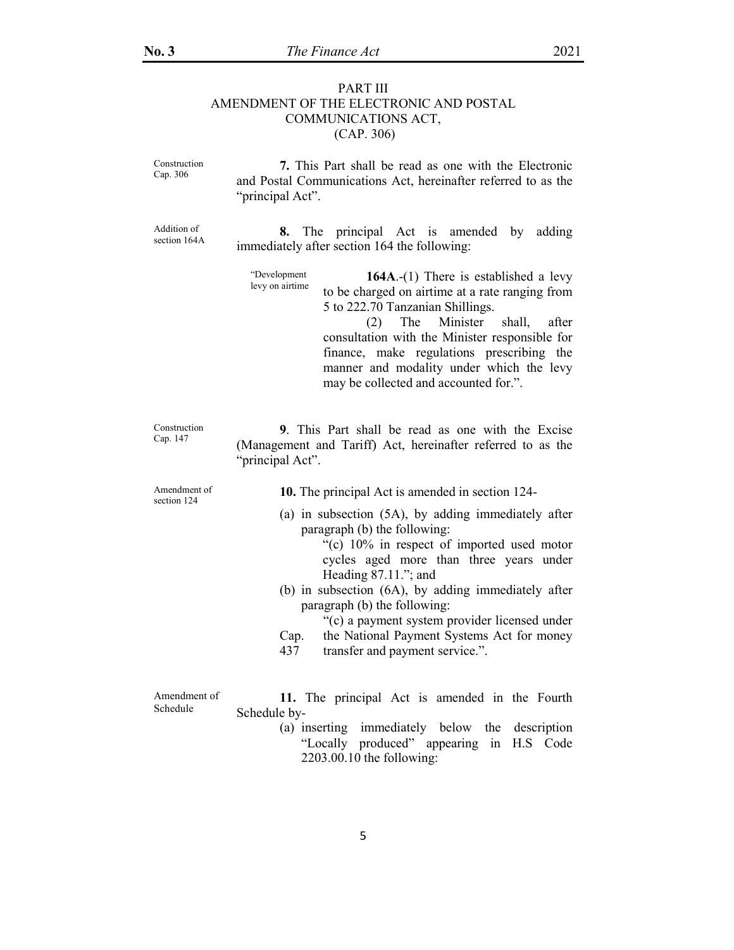# PART III AMENDMENT OF THE ELECTRONIC AND POSTAL COMMUNICATIONS ACT, (CAP. 306)

| Construction<br>Cap. 306    | 7. This Part shall be read as one with the Electronic<br>and Postal Communications Act, hereinafter referred to as the<br>"principal Act".                                                                                                                                                                                                                                                                                                      |
|-----------------------------|-------------------------------------------------------------------------------------------------------------------------------------------------------------------------------------------------------------------------------------------------------------------------------------------------------------------------------------------------------------------------------------------------------------------------------------------------|
| Addition of<br>section 164A | The<br>principal Act is amended by<br>adding<br>8.<br>immediately after section 164 the following:                                                                                                                                                                                                                                                                                                                                              |
|                             | "Development<br>164A. $-(1)$ There is established a levy<br>levy on airtime<br>to be charged on airtime at a rate ranging from<br>5 to 222.70 Tanzanian Shillings.<br>The Minister<br>shall,<br>(2)<br>after<br>consultation with the Minister responsible for<br>finance, make regulations prescribing the<br>manner and modality under which the levy<br>may be collected and accounted for.".                                                |
| Construction<br>Cap. 147    | 9. This Part shall be read as one with the Excise<br>(Management and Tariff) Act, hereinafter referred to as the<br>"principal Act".                                                                                                                                                                                                                                                                                                            |
| Amendment of<br>section 124 | 10. The principal Act is amended in section 124-                                                                                                                                                                                                                                                                                                                                                                                                |
|                             | (a) in subsection (5A), by adding immediately after<br>paragraph (b) the following:<br>"(c) 10% in respect of imported used motor<br>cycles aged more than three years under<br>Heading $87.11$ ."; and<br>(b) in subsection (6A), by adding immediately after<br>paragraph (b) the following:<br>"(c) a payment system provider licensed under<br>the National Payment Systems Act for money<br>Cap.<br>transfer and payment service.".<br>437 |
| Amendment of<br>Schedule    | 11. The principal Act is amended in the Fourth<br>Schedule by-                                                                                                                                                                                                                                                                                                                                                                                  |

(a) inserting immediately below the description "Locally produced" appearing in H.S Code 2203.00.10 the following: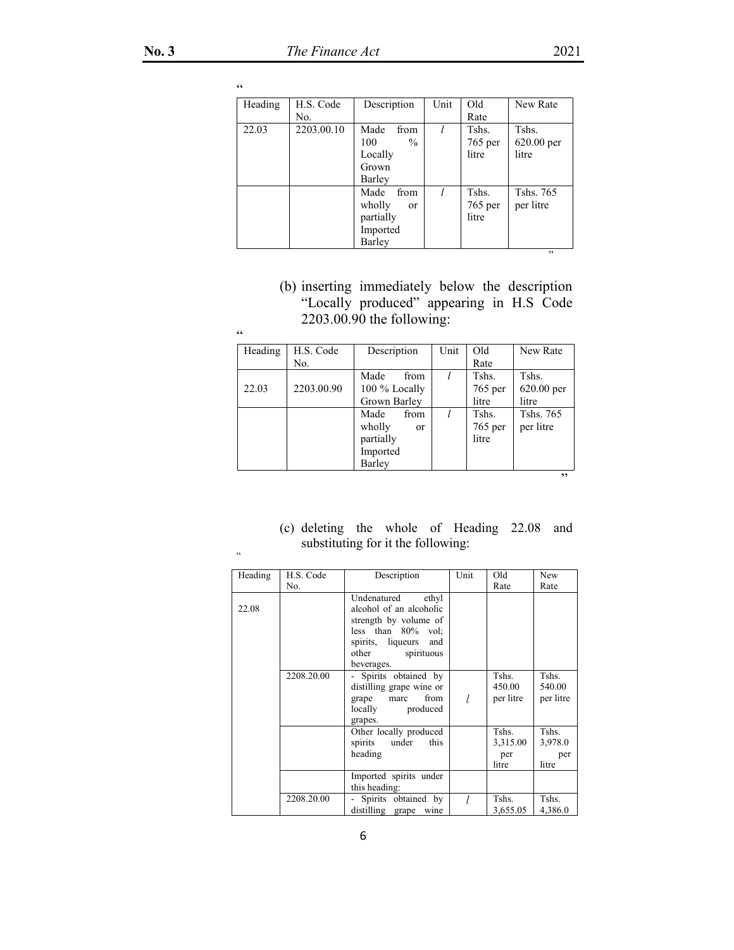| Heading | H.S. Code  | Description             | Unit | Old       | New Rate     |
|---------|------------|-------------------------|------|-----------|--------------|
|         | No.        |                         |      | Rate      |              |
| 22.03   | 2203.00.10 | Made<br>from            |      | Tshs.     | Tshs.        |
|         |            | 100<br>$\frac{0}{0}$    |      | $765$ per | $620.00$ per |
|         |            | Locally                 |      | litre     | litre        |
|         |            | Grown                   |      |           |              |
|         |            | Barley                  |      |           |              |
|         |            | Made<br>from            | l    | Tshs.     | Tshs. 765    |
|         |            | wholly<br><sub>or</sub> |      | $765$ per | per litre    |
|         |            | partially               |      | litre     |              |
|         |            | Imported                |      |           |              |
|         |            | Barley                  |      |           |              |

 $\mathcal{D}$ 

(b) inserting immediately below the description "Locally produced" appearing in H.S Code 2203.00.90 the following:

| Heading | H.S. Code  | Description             | Unit | Old       | New Rate   |
|---------|------------|-------------------------|------|-----------|------------|
|         | No.        |                         |      | Rate      |            |
|         |            | Made<br>from            |      | Tshs.     | Tshs.      |
| 22.03   | 2203.00.90 | 100 % Locally           |      | 765 per   | 620.00 per |
|         |            | Grown Barley            |      | litre     | litre      |
|         |            | Made<br>from            |      | Tshs.     | Tshs. 765  |
|         |            | wholly<br><sub>or</sub> |      | $765$ per | per litre  |
|         |            | partially               |      | litre     |            |
|         |            | Imported                |      |           |            |
|         |            | Barley                  |      |           |            |
|         |            |                         |      |           | ,,         |

(c) deleting the whole of Heading 22.08 and substituting for it the following:

| Heading | H.S. Code<br>No. | Description                                                                                                                                                     | Unit | Old<br>Rate                       | New<br>Rate                      |
|---------|------------------|-----------------------------------------------------------------------------------------------------------------------------------------------------------------|------|-----------------------------------|----------------------------------|
| 22.08   |                  | Undenatured<br>ethyl<br>alcohol of an alcoholic<br>strength by volume of<br>less than $80\%$ vol:<br>spirits, liqueurs<br>and<br>other spirituous<br>beverages. |      |                                   |                                  |
|         | 2208.20.00       | Spirits obtained by<br>distilling grape wine or<br>from<br>grape<br>marc<br>locally<br>produced<br>grapes.                                                      |      | Tshs.<br>450.00<br>per litre      | Tshs.<br>540.00<br>per litre     |
|         |                  | Other locally produced<br>spirits under<br>this<br>heading                                                                                                      |      | Tshs.<br>3,315.00<br>per<br>litre | Tshs.<br>3,978.0<br>per<br>litre |
|         |                  | Imported spirits under<br>this heading:                                                                                                                         |      |                                   |                                  |
|         | 2208.20.00       | - Spirits obtained by<br>distilling grape<br>wine                                                                                                               |      | Tshs.<br>3,655.05                 | Tshs.<br>4,386.0                 |

 $\overline{\mathfrak{c}}$  c

 $\overline{\mathfrak{c}}$   $\overline{\mathfrak{c}}$ 

"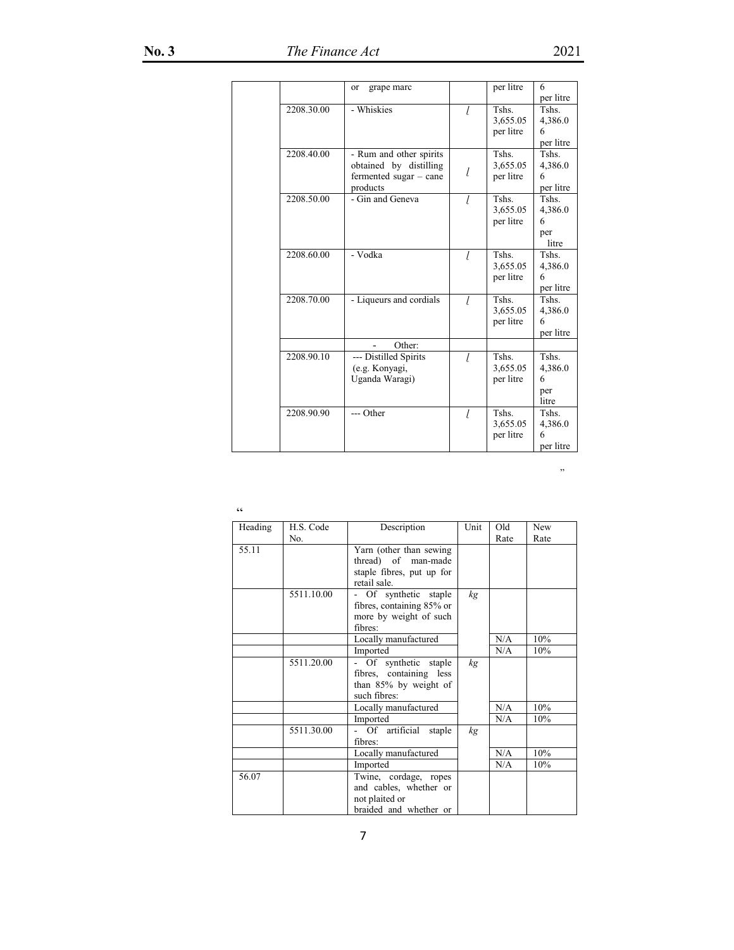|            | grape marc<br>or         |   | per litre | 6         |
|------------|--------------------------|---|-----------|-----------|
|            |                          |   |           | per litre |
| 2208.30.00 | - Whiskies               | l | Tshs.     | Tshs.     |
|            |                          |   | 3,655.05  | 4,386.0   |
|            |                          |   | per litre | 6         |
|            |                          |   |           | per litre |
| 2208.40.00 | - Rum and other spirits  |   | Tshs.     | Tshs.     |
|            | obtained by distilling   |   | 3,655.05  | 4,386.0   |
|            | fermented sugar $-$ cane | l | per litre | 6         |
|            | products                 |   |           | per litre |
| 2208.50.00 | - Gin and Geneva         | I | Tshs.     | Tshs.     |
|            |                          |   | 3,655.05  | 4,386.0   |
|            |                          |   | per litre | 6         |
|            |                          |   |           | per       |
|            |                          |   |           | litre     |
| 2208.60.00 | - Vodka                  | l | Tshs.     | Tshs.     |
|            |                          |   | 3,655.05  | 4,386.0   |
|            |                          |   | per litre | 6         |
|            |                          |   |           | per litre |
| 2208.70.00 | - Liqueurs and cordials  | l | Tshs.     | Tshs.     |
|            |                          |   | 3,655.05  | 4,386.0   |
|            |                          |   | per litre | 6         |
|            |                          |   |           | per litre |
|            | Other:                   |   |           |           |
| 2208.90.10 | --- Distilled Spirits    | l | Tshs.     | Tshs.     |
|            | (e.g. Konyagi,           |   | 3,655.05  | 4,386.0   |
|            | Uganda Waragi)           |   | per litre | 6         |
|            |                          |   |           | per       |
|            |                          |   |           | litre     |
| 2208.90.90 | --- Other                | l | Tshs.     | Tshs.     |
|            |                          |   | 3,655.05  | 4,386.0   |
|            |                          |   | per litre | 6         |
|            |                          |   |           | per litre |

 $\mathcal{L}$ 

 $\overline{\mathfrak{c}}$ 

| Heading | H.S. Code  | Description                                                                                  | Unit | Old  | <b>New</b> |
|---------|------------|----------------------------------------------------------------------------------------------|------|------|------------|
|         | No.        |                                                                                              |      | Rate | Rate       |
| 55.11   |            | Yarn (other than sewing)<br>thread) of man-made<br>staple fibres, put up for<br>retail sale. |      |      |            |
|         | 5511.10.00 | Of synthetic staple<br>fibres, containing 85% or<br>more by weight of such<br>fibres:        | kg   |      |            |
|         |            | Locally manufactured                                                                         |      | N/A  | 10%        |
|         |            | Imported                                                                                     |      | N/A  | 10%        |
|         | 5511.20.00 | Of synthetic staple<br>fibres, containing less<br>than 85% by weight of<br>such fibres:      | kg   |      |            |
|         |            | Locally manufactured                                                                         |      | N/A  | 10%        |
|         |            | Imported                                                                                     |      | N/A  | 10%        |
|         | 5511.30.00 | - Of artificial staple<br>fibres:                                                            | kg   |      |            |
|         |            | Locally manufactured                                                                         |      | N/A  | 10%        |
|         |            | Imported                                                                                     |      | N/A  | 10%        |
| 56.07   |            | Twine, cordage, ropes<br>and cables, whether or<br>not plaited or<br>braided and whether or  |      |      |            |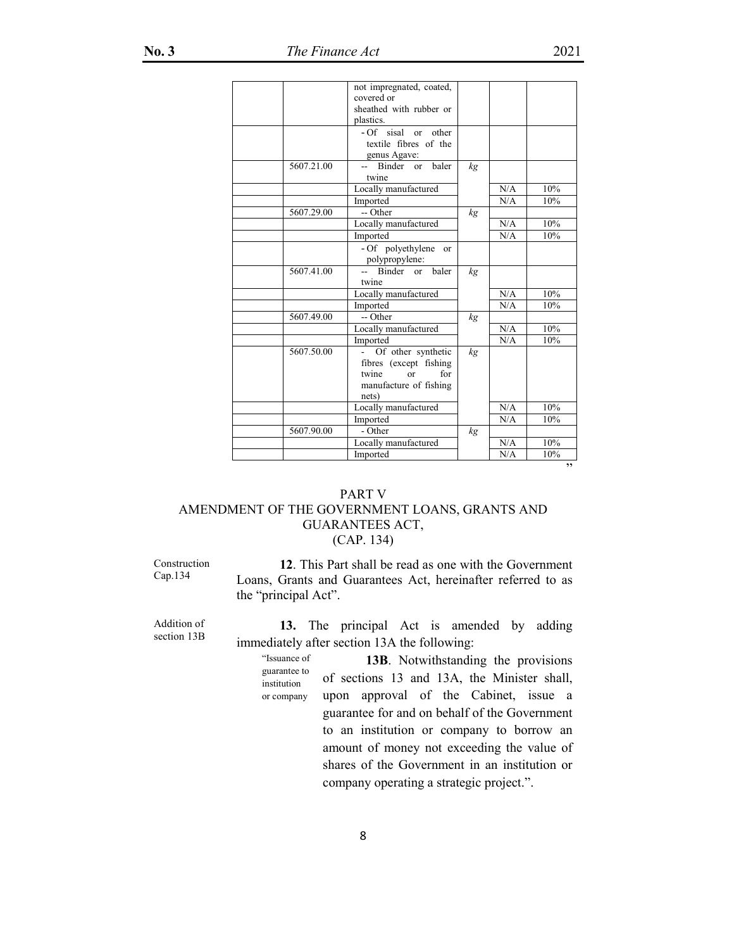|            | not impregnated, coated,             |    |     |     |
|------------|--------------------------------------|----|-----|-----|
|            | covered or                           |    |     |     |
|            | sheathed with rubber or<br>plastics. |    |     |     |
|            |                                      |    |     |     |
|            | - Of sisal or other                  |    |     |     |
|            | textile fibres of the                |    |     |     |
|            | genus Agave:                         |    |     |     |
| 5607.21.00 | -- Binder<br>baler<br>$\alpha$       | kg |     |     |
|            | twine                                |    |     |     |
|            | Locally manufactured                 |    | N/A | 10% |
|            | Imported                             |    | N/A | 10% |
| 5607.29.00 | -- Other                             | kg |     |     |
|            | Locally manufactured                 |    | N/A | 10% |
|            | Imported                             |    | N/A | 10% |
|            | - Of polyethylene or                 |    |     |     |
|            | polypropylene:                       |    |     |     |
| 5607.41.00 | -- Binder or<br>baler                | kg |     |     |
|            | twine                                |    |     |     |
|            | Locally manufactured                 |    | N/A | 10% |
|            | Imported                             |    | N/A | 10% |
| 5607.49.00 | -- Other                             | kg |     |     |
|            | Locally manufactured                 |    | N/A | 10% |
|            | Imported                             |    | N/A | 10% |
| 5607.50.00 | Of other synthetic                   | kg |     |     |
|            | fibres (except fishing               |    |     |     |
|            | for<br>twine<br>$\alpha$             |    |     |     |
|            | manufacture of fishing               |    |     |     |
|            | nets)                                |    |     |     |
|            | Locally manufactured                 |    | N/A | 10% |
|            | Imported                             |    | N/A | 10% |
| 5607.90.00 | - Other                              | kg |     |     |
|            | Locally manufactured                 |    | N/A | 10% |
|            | Imported                             |    | N/A | 10% |
|            |                                      |    |     | ,,  |

# PART V AMENDMENT OF THE GOVERNMENT LOANS, GRANTS AND GUARANTEES ACT, (CAP. 134)

Construction Cap.134

**12**. This Part shall be read as one with the Government Loans, Grants and Guarantees Act, hereinafter referred to as the "principal Act".

Addition of section 13B

**13.** The principal Act is amended by adding immediately after section 13A the following:

"Issuance of guarantee to institution or company **13B**. Notwithstanding the provisions of sections 13 and 13A, the Minister shall, upon approval of the Cabinet, issue a guarantee for and on behalf of the Government to an institution or company to borrow an amount of money not exceeding the value of shares of the Government in an institution or company operating a strategic project.".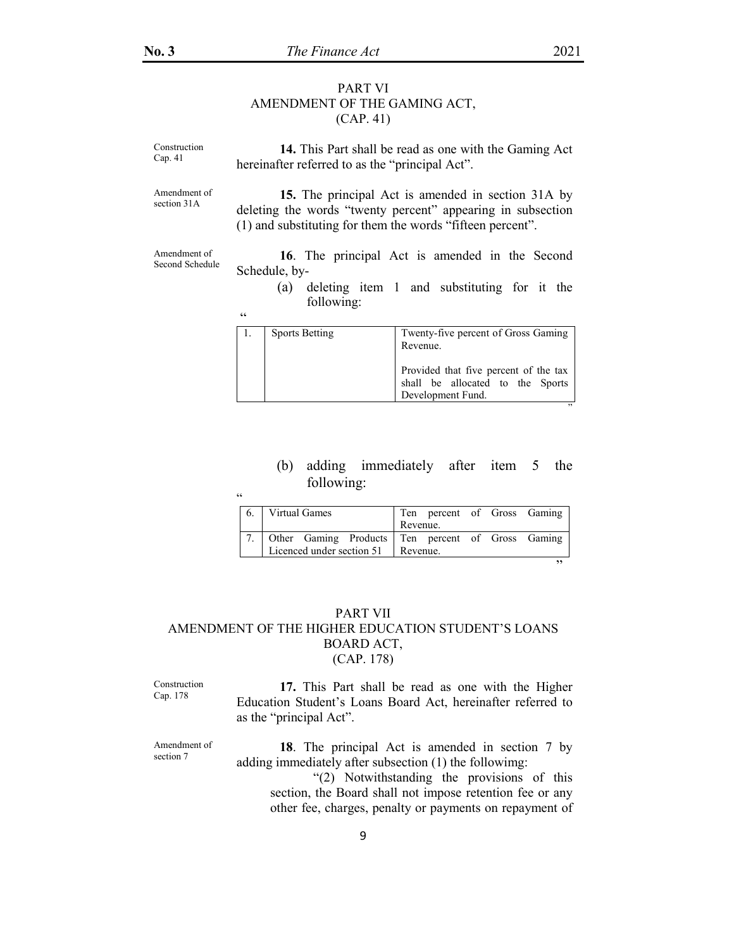### PART VI AMENDMENT OF THE GAMING ACT, (CAP. 41)

| Construction<br>Cap. 41         | 14. This Part shall be read as one with the Gaming Act<br>hereinafter referred to as the "principal Act".                                                                       |                                                                                               |  |  |  |
|---------------------------------|---------------------------------------------------------------------------------------------------------------------------------------------------------------------------------|-----------------------------------------------------------------------------------------------|--|--|--|
| Amendment of<br>section 31A     | 15. The principal Act is amended in section 31A by<br>deleting the words "twenty percent" appearing in subsection<br>(1) and substituting for them the words "fifteen percent". |                                                                                               |  |  |  |
| Amendment of<br>Second Schedule | Schedule, by-<br>(a)<br>following:                                                                                                                                              | 16. The principal Act is amended in the Second<br>deleting item 1 and substituting for it the |  |  |  |
|                                 | cc<br><b>Sports Betting</b><br>-1.                                                                                                                                              | Twenty-five percent of Gross Gaming<br>Revenue.                                               |  |  |  |

| . | I WOMY LIVE DOICOM OF OPOSS ORIGINING<br>Revenue.                                              |
|---|------------------------------------------------------------------------------------------------|
|   | Provided that five percent of the tax<br>shall be allocated to the Sports<br>Development Fund. |
|   | $\overline{\phantom{a}}$                                                                       |

# (b) adding immediately after item 5 the following:

| C |    |                                    |                                                      |
|---|----|------------------------------------|------------------------------------------------------|
|   | 6. | Virtual Games                      | Ten percent of Gross Gaming                          |
|   |    |                                    | Revenue.                                             |
|   |    |                                    | 7. Other Gaming Products Ten percent of Gross Gaming |
|   |    | Licenced under section 51 Revenue. |                                                      |
|   |    |                                    | ,,                                                   |
|   |    |                                    |                                                      |

# PART VII AMENDMENT OF THE HIGHER EDUCATION STUDENT'S LOANS BOARD ACT, (CAP. 178)

Construction Cap. 178

**17.** This Part shall be read as one with the Higher Education Student's Loans Board Act, hereinafter referred to as the "principal Act".

Amendment of section 7 **18**. The principal Act is amended in section 7 by adding immediately after subsection (1) the followimg: "(2) Notwithstanding the provisions of this section, the Board shall not impose retention fee or any other fee, charges, penalty or payments on repayment of

9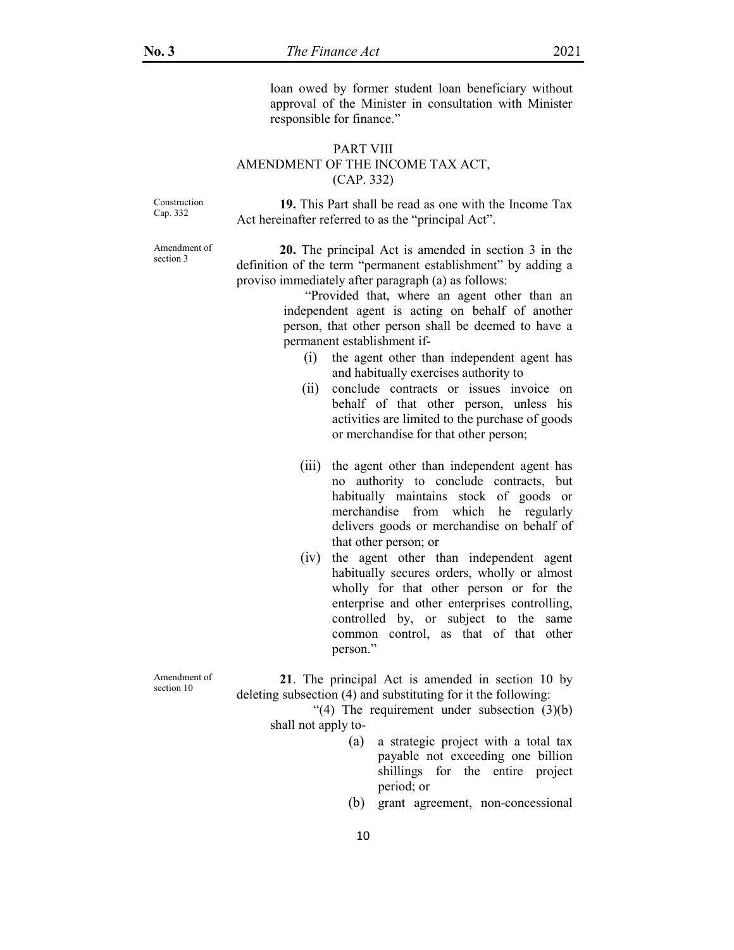loan owed by former student loan beneficiary without approval of the Minister in consultation with Minister responsible for finance."

### PART VIII AMENDMENT OF THE INCOME TAX ACT, (CAP. 332)

Construction Cap. 332

**19.** This Part shall be read as one with the Income Tax Act hereinafter referred to as the "principal Act".

Amendment of section 3

**20.** The principal Act is amended in section 3 in the definition of the term "permanent establishment" by adding a proviso immediately after paragraph (a) as follows:

> "Provided that, where an agent other than an independent agent is acting on behalf of another person, that other person shall be deemed to have a permanent establishment if-

- (i) the agent other than independent agent has and habitually exercises authority to
- (ii) conclude contracts or issues invoice on behalf of that other person, unless his activities are limited to the purchase of goods or merchandise for that other person;
- (iii) the agent other than independent agent has no authority to conclude contracts, but habitually maintains stock of goods or merchandise from which he regularly delivers goods or merchandise on behalf of that other person; or
- (iv) the agent other than independent agent habitually secures orders, wholly or almost wholly for that other person or for the enterprise and other enterprises controlling, controlled by, or subject to the same common control, as that of that other person."

Amendment of section 10

**21**. The principal Act is amended in section 10 by deleting subsection (4) and substituting for it the following:

"(4) The requirement under subsection  $(3)(b)$ shall not apply to-

- (a) a strategic project with a total tax payable not exceeding one billion shillings for the entire project period; or
- (b) grant agreement, non-concessional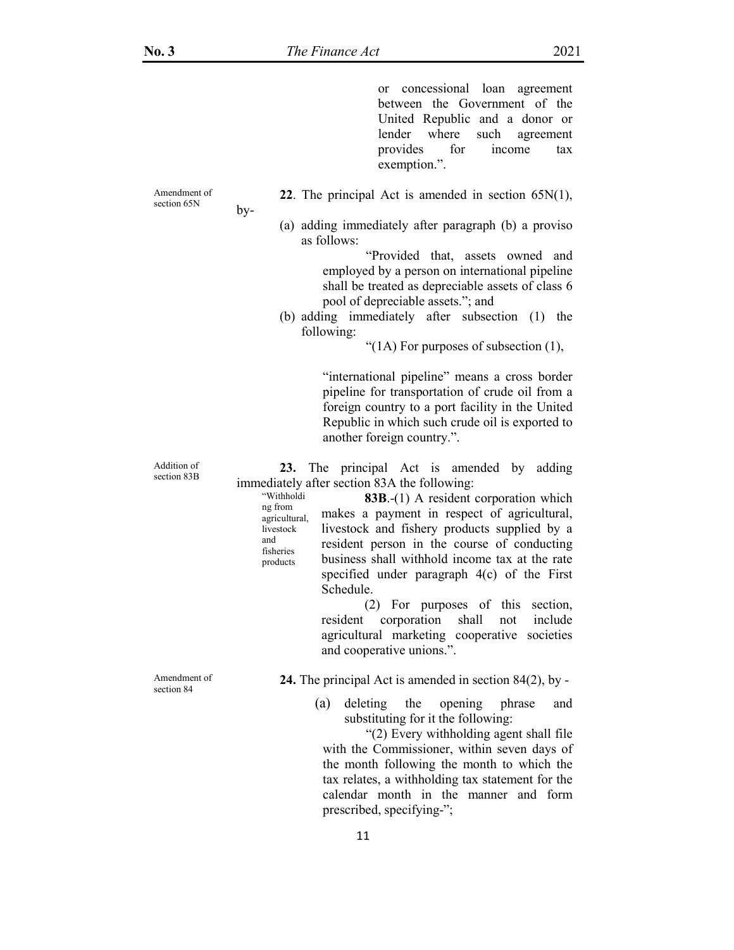or concessional loan agreement between the Government of the United Republic and a donor or lender where such agreement provides for income tax exemption.".

Amendment of section 65N

by-

ng from

livestock and fisheries products

**22**. The principal Act is amended in section 65N(1),

(a) adding immediately after paragraph (b) a proviso as follows:

> "Provided that, assets owned and employed by a person on international pipeline shall be treated as depreciable assets of class 6 pool of depreciable assets."; and

(b) adding immediately after subsection (1) the following:

"(1A) For purposes of subsection  $(1)$ ,

"international pipeline" means a cross border pipeline for transportation of crude oil from a foreign country to a port facility in the United Republic in which such crude oil is exported to another foreign country.".

**23.** The principal Act is amended by adding immediately after section 83A the following:

 "Withholdi agricultural, **83B**.-(1) A resident corporation which makes a payment in respect of agricultural, livestock and fishery products supplied by a resident person in the course of conducting business shall withhold income tax at the rate specified under paragraph 4(c) of the First Schedule.

> (2) For purposes of this section, resident corporation shall not include agricultural marketing cooperative societies and cooperative unions.".

**24.** The principal Act is amended in section 84(2), by -

(a) deleting the opening phrase and substituting for it the following:

 "(2) Every withholding agent shall file with the Commissioner, within seven days of the month following the month to which the tax relates, a withholding tax statement for the calendar month in the manner and form prescribed, specifying-";

Addition of section 83B

Amendment of section 84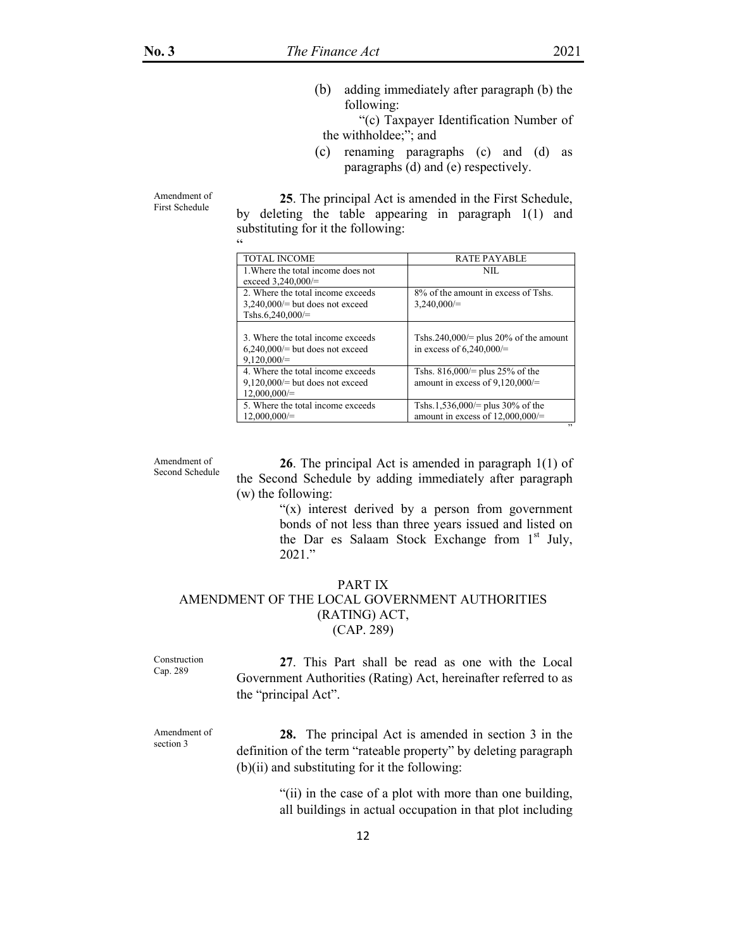(b) adding immediately after paragraph (b) the following:

 "(c) Taxpayer Identification Number of the withholdee;"; and

(c) renaming paragraphs (c) and (d) as paragraphs (d) and (e) respectively.

Amendment of First Schedule

**25**. The principal Act is amended in the First Schedule, by deleting the table appearing in paragraph 1(1) and substituting for it the following:

| $\epsilon$                                                                                 |                                                                         |
|--------------------------------------------------------------------------------------------|-------------------------------------------------------------------------|
| TOTAL INCOME                                                                               | <b>RATE PAYABLE</b>                                                     |
| 1. Where the total income does not<br>exceed $3,240,000/=$                                 | NIL.                                                                    |
| 2. Where the total income exceeds<br>$3,240,000 =$ but does not exceed<br>Tshs.6,240,000/= | 8% of the amount in excess of Tshs.<br>$3,240,000/=$                    |
| 3. Where the total income exceeds<br>$6,240,000 =$ but does not exceed<br>$9.120.000 =$    | Tshs.240,000/= plus 20% of the amount<br>in excess of $6,240,000 =$     |
| 4. Where the total income exceeds<br>$9,120,000 =$ but does not exceed<br>$12,000,000/=$   | Tshs. $816,000/=$ plus 25% of the<br>amount in excess of $9,120,000 =$  |
| 5. Where the total income exceeds<br>$12,000,000/=$                                        | Tshs.1,536,000/= plus 30% of the<br>amount in excess of $12,000,000/$ = |

Amendment of Second Schedule

**26**. The principal Act is amended in paragraph 1(1) of the Second Schedule by adding immediately after paragraph (w) the following:

> "(x) interest derived by a person from government bonds of not less than three years issued and listed on the Dar es Salaam Stock Exchange from 1st July, 2021."

# PART IX

### AMENDMENT OF THE LOCAL GOVERNMENT AUTHORITIES (RATING) ACT, (CAP. 289)

Construction Cap. 289

**27**. This Part shall be read as one with the Local Government Authorities (Rating) Act, hereinafter referred to as the "principal Act".

Amendment of section 3

**28.** The principal Act is amended in section 3 in the definition of the term "rateable property" by deleting paragraph  $(b)(ii)$  and substituting for it the following:

> "(ii) in the case of a plot with more than one building, all buildings in actual occupation in that plot including

"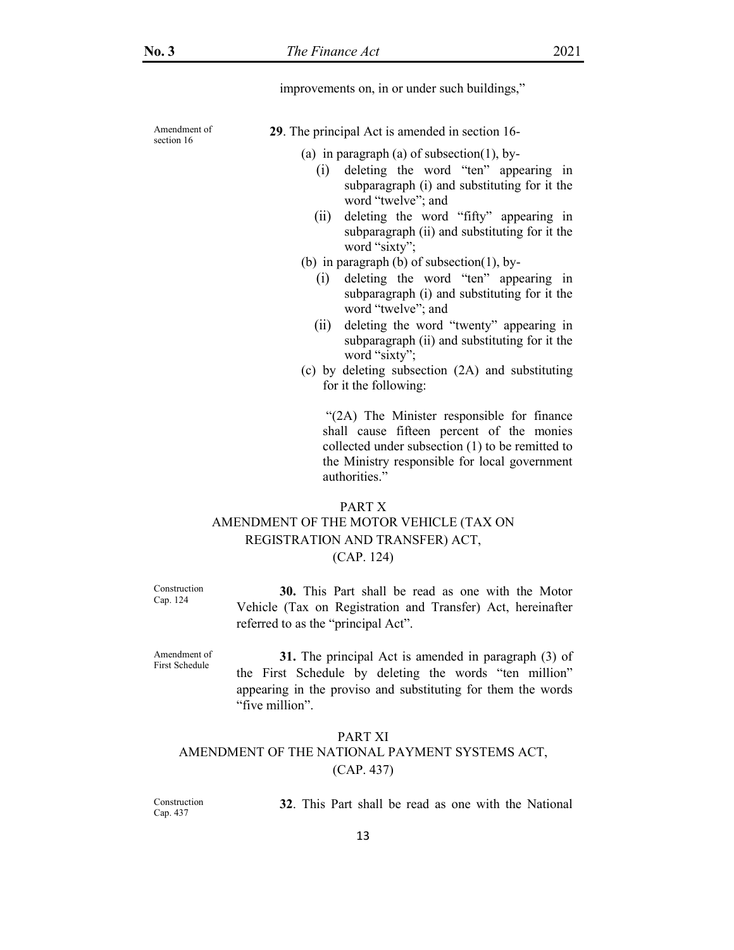improvements on, in or under such buildings,"

Amendment of section 16

 **29**. The principal Act is amended in section 16-

(a) in paragraph (a) of subsection(1), by-

- (i) deleting the word "ten" appearing in subparagraph (i) and substituting for it the word "twelve"; and
- (ii) deleting the word "fifty" appearing in subparagraph (ii) and substituting for it the word "sixty";
- (b) in paragraph (b) of subsection(1), by-
	- (i) deleting the word "ten" appearing in subparagraph (i) and substituting for it the word "twelve"; and
	- (ii) deleting the word "twenty" appearing in subparagraph (ii) and substituting for it the word "sixty";
- (c) by deleting subsection (2A) and substituting for it the following:

 "(2A) The Minister responsible for finance shall cause fifteen percent of the monies collected under subsection (1) to be remitted to the Ministry responsible for local government authorities."

# PART X AMENDMENT OF THE MOTOR VEHICLE (TAX ON REGISTRATION AND TRANSFER) ACT, (CAP. 124)

Construction Cap. 124

**30.** This Part shall be read as one with the Motor Vehicle (Tax on Registration and Transfer) Act, hereinafter referred to as the "principal Act".

Amendment of First Schedule

**31.** The principal Act is amended in paragraph (3) of the First Schedule by deleting the words "ten million" appearing in the proviso and substituting for them the words "five million".

# PART XI AMENDMENT OF THE NATIONAL PAYMENT SYSTEMS ACT, (CAP. 437)

Construction Cap. 437

**32**. This Part shall be read as one with the National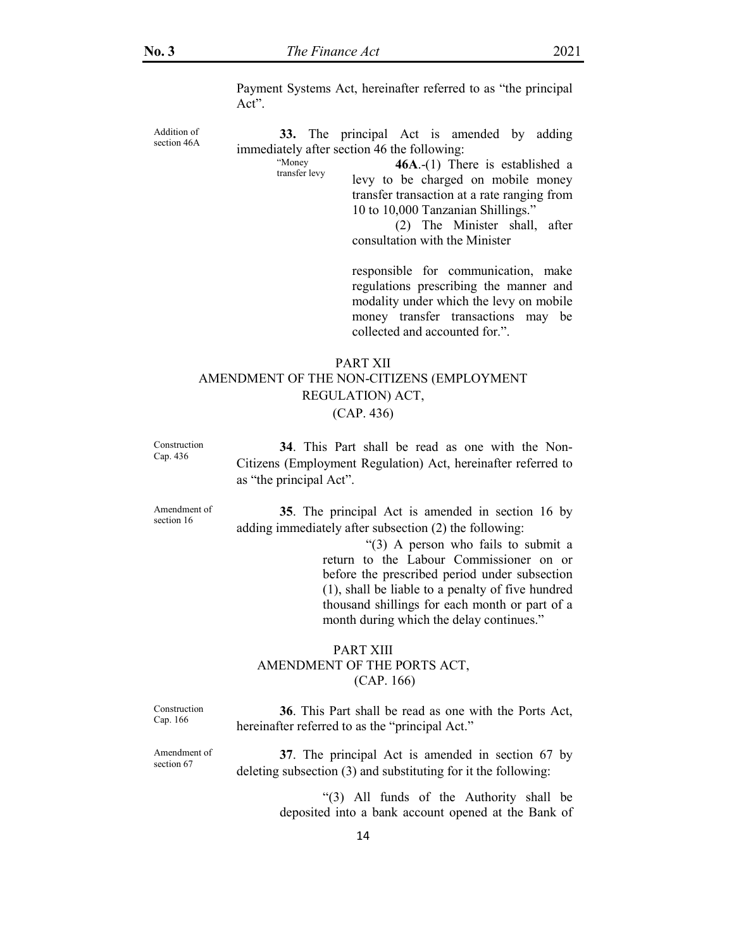Payment Systems Act, hereinafter referred to as "the principal Act".

Addition of section 46A

**33.** The principal Act is amended by adding immediately after section 46 the following:

> "Money transfer levy

**46A**.-(1) There is established a levy to be charged on mobile money transfer transaction at a rate ranging from 10 to 10,000 Tanzanian Shillings."

 (2) The Minister shall, after consultation with the Minister

responsible for communication, make regulations prescribing the manner and modality under which the levy on mobile money transfer transactions may be collected and accounted for.".

# PART XII AMENDMENT OF THE NON-CITIZENS (EMPLOYMENT REGULATION) ACT, (CAP. 436)

Construction Cap. 436

**34**. This Part shall be read as one with the Non-Citizens (Employment Regulation) Act, hereinafter referred to as "the principal Act".

Amendment of section 16

**35**. The principal Act is amended in section 16 by adding immediately after subsection (2) the following:

> "(3) A person who fails to submit a return to the Labour Commissioner on or before the prescribed period under subsection (1), shall be liable to a penalty of five hundred thousand shillings for each month or part of a month during which the delay continues."

### PART XIII AMENDMENT OF THE PORTS ACT, (CAP. 166)

Construction Cap. 166

**36**. This Part shall be read as one with the Ports Act, hereinafter referred to as the "principal Act."

Amendment of section 67

**37**. The principal Act is amended in section 67 by deleting subsection (3) and substituting for it the following:

> "(3) All funds of the Authority shall be deposited into a bank account opened at the Bank of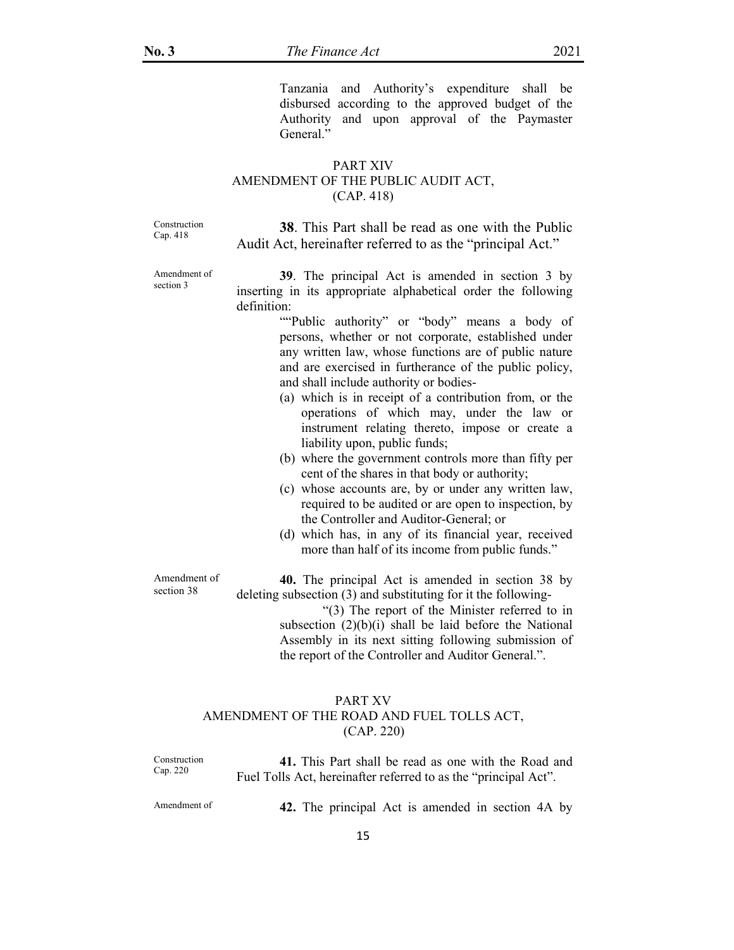Tanzania and Authority's expenditure shall be disbursed according to the approved budget of the Authority and upon approval of the Paymaster General."

## PART XIV AMENDMENT OF THE PUBLIC AUDIT ACT, (CAP. 418)

Construction Cap. 418

**38**. This Part shall be read as one with the Public Audit Act, hereinafter referred to as the "principal Act."

Amendment of section 3

**39**. The principal Act is amended in section 3 by inserting in its appropriate alphabetical order the following definition:

> ""Public authority" or "body" means a body of persons, whether or not corporate, established under any written law, whose functions are of public nature and are exercised in furtherance of the public policy, and shall include authority or bodies-

- (a) which is in receipt of a contribution from, or the operations of which may, under the law or instrument relating thereto, impose or create a liability upon, public funds;
- (b) where the government controls more than fifty per cent of the shares in that body or authority;
- (c) whose accounts are, by or under any written law, required to be audited or are open to inspection, by the Controller and Auditor-General; or
- (d) which has, in any of its financial year, received more than half of its income from public funds."

Amendment of section 38

**40.** The principal Act is amended in section 38 by deleting subsection (3) and substituting for it the following-

> "(3) The report of the Minister referred to in subsection  $(2)(b)(i)$  shall be laid before the National Assembly in its next sitting following submission of the report of the Controller and Auditor General.".

# PART XV AMENDMENT OF THE ROAD AND FUEL TOLLS ACT, (CAP. 220)

Construction Cap. 220

**41.** This Part shall be read as one with the Road and Fuel Tolls Act, hereinafter referred to as the "principal Act".

Amendment of **42.** The principal Act is amended in section 4A by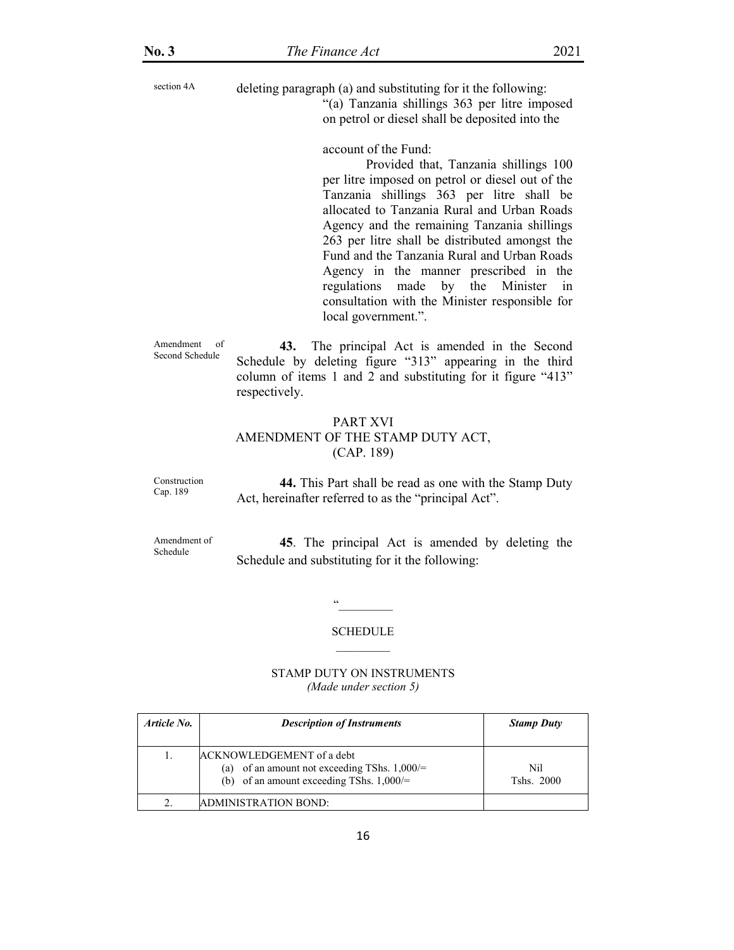section 4A deleting paragraph (a) and substituting for it the following:

"(a) Tanzania shillings 363 per litre imposed on petrol or diesel shall be deposited into the

account of the Fund:

 Provided that, Tanzania shillings 100 per litre imposed on petrol or diesel out of the Tanzania shillings 363 per litre shall be allocated to Tanzania Rural and Urban Roads Agency and the remaining Tanzania shillings 263 per litre shall be distributed amongst the Fund and the Tanzania Rural and Urban Roads Agency in the manner prescribed in the regulations made by the Minister in consultation with the Minister responsible for local government.".

Amendment of Second Schedule

**43.** The principal Act is amended in the Second Schedule by deleting figure "313" appearing in the third column of items 1 and 2 and substituting for it figure "413" respectively.

# PART XVI AMENDMENT OF THE STAMP DUTY ACT, (CAP. 189)

Construction Cap. 189

**44.** This Part shall be read as one with the Stamp Duty Act, hereinafter referred to as the "principal Act".

Amendment of Schedule

**45**. The principal Act is amended by deleting the Schedule and substituting for it the following:

> SCHEDULE  $\mathcal{L}=\mathcal{L}$

"\_\_\_\_\_\_\_\_\_

#### STAMP DUTY ON INSTRUMENTS *(Made under section 5)*

| Article No. | <b>Description of Instruments</b>                                                                                                   | <b>Stamp Duty</b>  |
|-------------|-------------------------------------------------------------------------------------------------------------------------------------|--------------------|
|             | <b>ACKNOWLEDGEMENT</b> of a debt<br>of an amount not exceeding TShs. $1,000/=$<br>(a)<br>(b) of an amount exceeding TShs. $1,000/=$ | Nil.<br>Tshs. 2000 |
|             | ADMINISTRATION BOND:                                                                                                                |                    |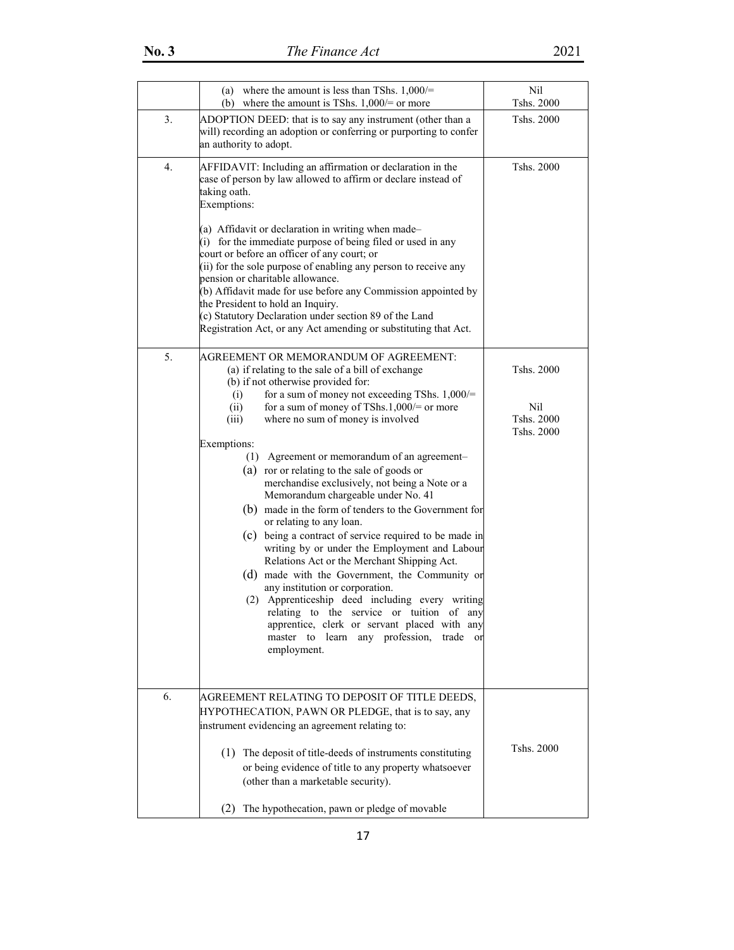|    | (a) where the amount is less than TShs. $1,000/=$<br>(b) where the amount is TShs. $1,000$ /= or more                                                                                                                                                                                                                                                                                                                                                                                                                                                                                                                                                                                                                                                                                                                                                                                                                                                                                                                                                         | Nil<br>Tshs. 2000                             |
|----|---------------------------------------------------------------------------------------------------------------------------------------------------------------------------------------------------------------------------------------------------------------------------------------------------------------------------------------------------------------------------------------------------------------------------------------------------------------------------------------------------------------------------------------------------------------------------------------------------------------------------------------------------------------------------------------------------------------------------------------------------------------------------------------------------------------------------------------------------------------------------------------------------------------------------------------------------------------------------------------------------------------------------------------------------------------|-----------------------------------------------|
| 3. | ADOPTION DEED: that is to say any instrument (other than a<br>will) recording an adoption or conferring or purporting to confer<br>an authority to adopt.                                                                                                                                                                                                                                                                                                                                                                                                                                                                                                                                                                                                                                                                                                                                                                                                                                                                                                     | Tshs. 2000                                    |
| 4. | AFFIDAVIT: Including an affirmation or declaration in the<br>case of person by law allowed to affirm or declare instead of<br>taking oath.<br>Exemptions:<br>(a) Affidavit or declaration in writing when made-<br>(i) for the immediate purpose of being filed or used in any<br>court or before an officer of any court; or<br>(ii) for the sole purpose of enabling any person to receive any<br>pension or charitable allowance.<br>(b) Affidavit made for use before any Commission appointed by<br>the President to hold an Inquiry.<br>(c) Statutory Declaration under section 89 of the Land<br>Registration Act, or any Act amending or substituting that Act.                                                                                                                                                                                                                                                                                                                                                                                       | Tshs. 2000                                    |
| 5. | AGREEMENT OR MEMORANDUM OF AGREEMENT:<br>(a) if relating to the sale of a bill of exchange<br>(b) if not otherwise provided for:<br>(i)<br>for a sum of money not exceeding TShs. $1,000/=$<br>for a sum of money of TShs.1,000/= or more<br>(ii)<br>(iii)<br>where no sum of money is involved<br>Exemptions:<br>(1) Agreement or memorandum of an agreement-<br>(a) ror or relating to the sale of goods or<br>merchandise exclusively, not being a Note or a<br>Memorandum chargeable under No. 41<br>(b) made in the form of tenders to the Government for<br>or relating to any loan.<br>(c) being a contract of service required to be made in<br>writing by or under the Employment and Labour<br>Relations Act or the Merchant Shipping Act.<br>(d) made with the Government, the Community or<br>any institution or corporation.<br>(2) Apprenticeship deed including every writing<br>relating to the service or tuition of any<br>apprentice, clerk or servant placed with any<br>any profession,<br>master to<br>learn<br>trade or<br>employment. | Tshs. 2000<br>Nil<br>Tshs. 2000<br>Tshs. 2000 |
| 6. | AGREEMENT RELATING TO DEPOSIT OF TITLE DEEDS,<br>HYPOTHECATION, PAWN OR PLEDGE, that is to say, any<br>instrument evidencing an agreement relating to:<br>(1) The deposit of title-deeds of instruments constituting<br>or being evidence of title to any property whatsoever<br>(other than a marketable security).<br>The hypothecation, pawn or pledge of movable<br>(2)                                                                                                                                                                                                                                                                                                                                                                                                                                                                                                                                                                                                                                                                                   | Tshs. 2000                                    |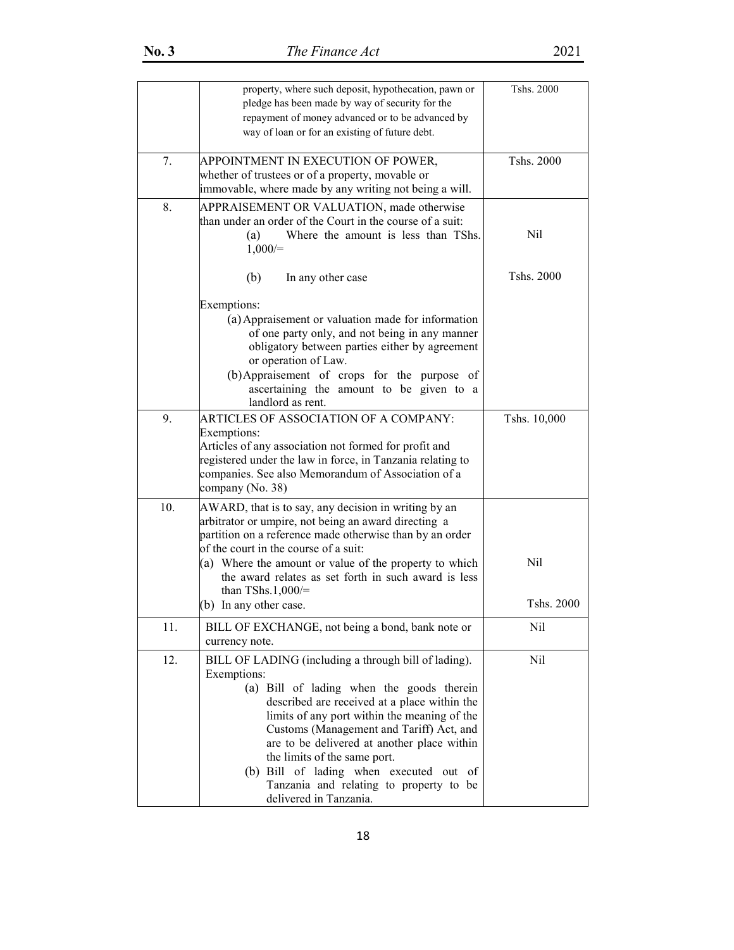|     | property, where such deposit, hypothecation, pawn or<br>pledge has been made by way of security for the<br>repayment of money advanced or to be advanced by<br>way of loan or for an existing of future debt.                                                                                                                                                                                                                                               | Tshs. 2000   |
|-----|-------------------------------------------------------------------------------------------------------------------------------------------------------------------------------------------------------------------------------------------------------------------------------------------------------------------------------------------------------------------------------------------------------------------------------------------------------------|--------------|
| 7.  | APPOINTMENT IN EXECUTION OF POWER,<br>whether of trustees or of a property, movable or<br>immovable, where made by any writing not being a will.                                                                                                                                                                                                                                                                                                            | Tshs. 2000   |
| 8.  | APPRAISEMENT OR VALUATION, made otherwise<br>than under an order of the Court in the course of a suit:<br>Where the amount is less than TShs.<br>(a)<br>$1,000/=$                                                                                                                                                                                                                                                                                           | Nil          |
|     | (b)<br>In any other case<br>Exemptions:<br>(a) Appraisement or valuation made for information<br>of one party only, and not being in any manner                                                                                                                                                                                                                                                                                                             | Tshs. 2000   |
|     | obligatory between parties either by agreement<br>or operation of Law.<br>(b) Appraisement of crops for the purpose of<br>ascertaining the amount to be given to a<br>landlord as rent.                                                                                                                                                                                                                                                                     |              |
| 9.  | ARTICLES OF ASSOCIATION OF A COMPANY:<br>Exemptions:<br>Articles of any association not formed for profit and<br>registered under the law in force, in Tanzania relating to<br>companies. See also Memorandum of Association of a<br>company (No. 38)                                                                                                                                                                                                       | Tshs. 10,000 |
| 10. | AWARD, that is to say, any decision in writing by an<br>arbitrator or umpire, not being an award directing a<br>partition on a reference made otherwise than by an order<br>of the court in the course of a suit:                                                                                                                                                                                                                                           |              |
|     | (a) Where the amount or value of the property to which<br>the award relates as set forth in such award is less<br>than TShs.1,000/ $=$                                                                                                                                                                                                                                                                                                                      | Nil          |
|     | (b) In any other case.                                                                                                                                                                                                                                                                                                                                                                                                                                      | Tshs. 2000   |
| 11. | BILL OF EXCHANGE, not being a bond, bank note or<br>currency note.                                                                                                                                                                                                                                                                                                                                                                                          | Nil          |
| 12. | BILL OF LADING (including a through bill of lading).<br>Exemptions:<br>(a) Bill of lading when the goods therein<br>described are received at a place within the<br>limits of any port within the meaning of the<br>Customs (Management and Tariff) Act, and<br>are to be delivered at another place within<br>the limits of the same port.<br>(b) Bill of lading when executed out of<br>Tanzania and relating to property to be<br>delivered in Tanzania. | Nil          |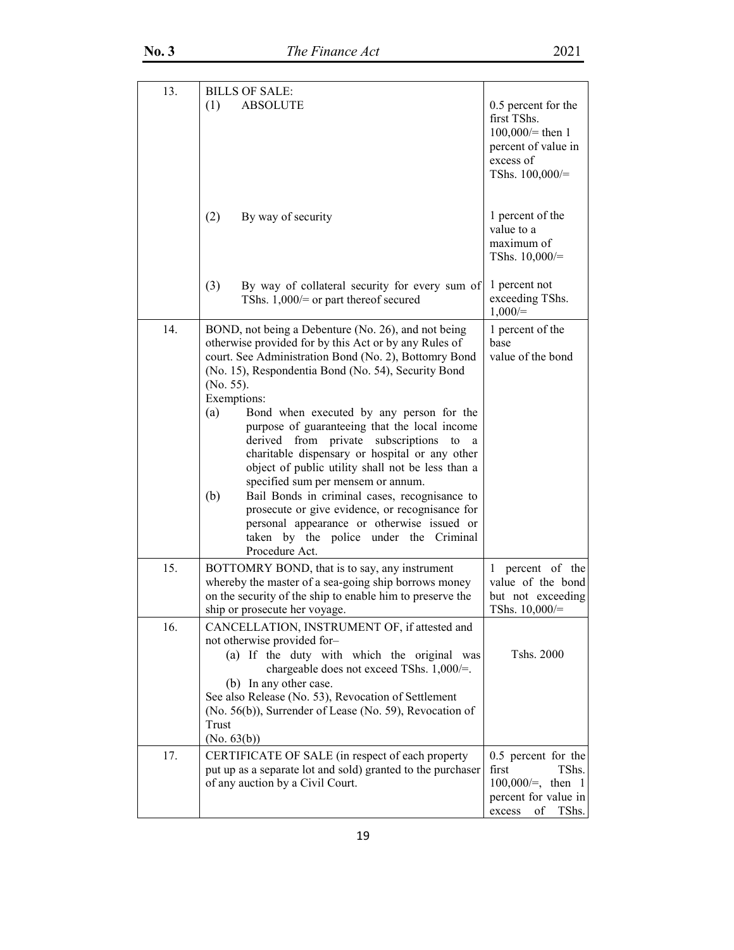| 13. | <b>BILLS OF SALE:</b>                                                                                                                                                                                                                                                                                                                                                                                                                                                                                                                                                                                                                                                                                                                                                           |                                                                                                                 |
|-----|---------------------------------------------------------------------------------------------------------------------------------------------------------------------------------------------------------------------------------------------------------------------------------------------------------------------------------------------------------------------------------------------------------------------------------------------------------------------------------------------------------------------------------------------------------------------------------------------------------------------------------------------------------------------------------------------------------------------------------------------------------------------------------|-----------------------------------------------------------------------------------------------------------------|
|     | (1)<br><b>ABSOLUTE</b>                                                                                                                                                                                                                                                                                                                                                                                                                                                                                                                                                                                                                                                                                                                                                          | 0.5 percent for the<br>first TShs.<br>$100,000 =$ then 1<br>percent of value in<br>excess of<br>TShs. 100,000/= |
|     | (2)<br>By way of security                                                                                                                                                                                                                                                                                                                                                                                                                                                                                                                                                                                                                                                                                                                                                       | 1 percent of the<br>value to a<br>maximum of<br>TShs. $10,000/=$                                                |
|     | (3)<br>By way of collateral security for every sum of<br>TShs. $1,000$ /= or part thereof secured                                                                                                                                                                                                                                                                                                                                                                                                                                                                                                                                                                                                                                                                               | 1 percent not<br>exceeding TShs.<br>$1,000/=$                                                                   |
| 14. | BOND, not being a Debenture (No. 26), and not being<br>otherwise provided for by this Act or by any Rules of<br>court. See Administration Bond (No. 2), Bottomry Bond<br>(No. 15), Respondentia Bond (No. 54), Security Bond<br>(No. 55).<br>Exemptions:<br>(a)<br>Bond when executed by any person for the<br>purpose of guaranteeing that the local income<br>derived from private subscriptions<br>to<br>a<br>charitable dispensary or hospital or any other<br>object of public utility shall not be less than a<br>specified sum per mensem or annum.<br>(b)<br>Bail Bonds in criminal cases, recognisance to<br>prosecute or give evidence, or recognisance for<br>personal appearance or otherwise issued or<br>taken by the police under the Criminal<br>Procedure Act. | 1 percent of the<br>base<br>value of the bond                                                                   |
| 15. | BOTTOMRY BOND, that is to say, any instrument<br>whereby the master of a sea-going ship borrows money<br>on the security of the ship to enable him to preserve the<br>ship or prosecute her voyage.                                                                                                                                                                                                                                                                                                                                                                                                                                                                                                                                                                             | 1 percent of the<br>value of the bond<br>but not exceeding<br>TShs. $10,000/=$                                  |
| 16. | CANCELLATION, INSTRUMENT OF, if attested and<br>not otherwise provided for-<br>(a) If the duty with which the original was<br>chargeable does not exceed TShs. 1,000/=.<br>(b) In any other case.<br>See also Release (No. 53), Revocation of Settlement<br>(No. 56(b)), Surrender of Lease (No. 59), Revocation of<br>Trust<br>(No. 63(b))                                                                                                                                                                                                                                                                                                                                                                                                                                     | Tshs. 2000                                                                                                      |
| 17. | CERTIFICATE OF SALE (in respect of each property<br>put up as a separate lot and sold) granted to the purchaser<br>of any auction by a Civil Court.                                                                                                                                                                                                                                                                                                                                                                                                                                                                                                                                                                                                                             | 0.5 percent for the<br>first<br>TShs.<br>$100,000/=$ , then 1<br>percent for value in<br>excess<br>of<br>TShs.  |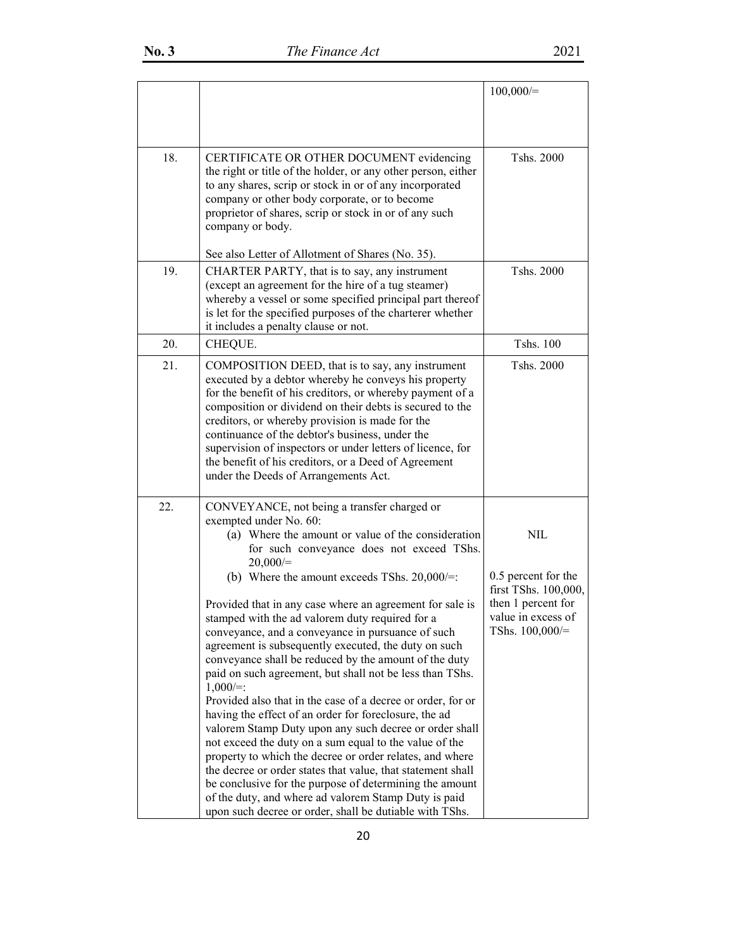|     |                                                                                                                                                                                                                                                                                                                                                                                                                                                                                                                                                                                                                                                                                                                                                                                                                                                                                                                                                                                                                                                                                                                                                              | 100,000/                                                                                                            |
|-----|--------------------------------------------------------------------------------------------------------------------------------------------------------------------------------------------------------------------------------------------------------------------------------------------------------------------------------------------------------------------------------------------------------------------------------------------------------------------------------------------------------------------------------------------------------------------------------------------------------------------------------------------------------------------------------------------------------------------------------------------------------------------------------------------------------------------------------------------------------------------------------------------------------------------------------------------------------------------------------------------------------------------------------------------------------------------------------------------------------------------------------------------------------------|---------------------------------------------------------------------------------------------------------------------|
| 18. | CERTIFICATE OR OTHER DOCUMENT evidencing<br>the right or title of the holder, or any other person, either<br>to any shares, scrip or stock in or of any incorporated<br>company or other body corporate, or to become<br>proprietor of shares, scrip or stock in or of any such<br>company or body.<br>See also Letter of Allotment of Shares (No. 35).                                                                                                                                                                                                                                                                                                                                                                                                                                                                                                                                                                                                                                                                                                                                                                                                      | Tshs. 2000                                                                                                          |
| 19. | CHARTER PARTY, that is to say, any instrument<br>(except an agreement for the hire of a tug steamer)<br>whereby a vessel or some specified principal part thereof<br>is let for the specified purposes of the charterer whether<br>it includes a penalty clause or not.                                                                                                                                                                                                                                                                                                                                                                                                                                                                                                                                                                                                                                                                                                                                                                                                                                                                                      | Tshs. 2000                                                                                                          |
| 20. | CHEQUE.                                                                                                                                                                                                                                                                                                                                                                                                                                                                                                                                                                                                                                                                                                                                                                                                                                                                                                                                                                                                                                                                                                                                                      | Tshs. 100                                                                                                           |
| 21. | COMPOSITION DEED, that is to say, any instrument<br>executed by a debtor whereby he conveys his property<br>for the benefit of his creditors, or whereby payment of a<br>composition or dividend on their debts is secured to the<br>creditors, or whereby provision is made for the<br>continuance of the debtor's business, under the<br>supervision of inspectors or under letters of licence, for<br>the benefit of his creditors, or a Deed of Agreement<br>under the Deeds of Arrangements Act.                                                                                                                                                                                                                                                                                                                                                                                                                                                                                                                                                                                                                                                        | Tshs. 2000                                                                                                          |
| 22. | CONVEYANCE, not being a transfer charged or<br>exempted under No. 60:<br>(a) Where the amount or value of the consideration<br>for such conveyance does not exceed TShs.<br>$20,000/=$<br>(b) Where the amount exceeds TShs. $20,000/=:$<br>Provided that in any case where an agreement for sale is<br>stamped with the ad valorem duty required for a<br>conveyance, and a conveyance in pursuance of such<br>agreement is subsequently executed, the duty on such<br>conveyance shall be reduced by the amount of the duty<br>paid on such agreement, but shall not be less than TShs.<br>$1,000/=:$<br>Provided also that in the case of a decree or order, for or<br>having the effect of an order for foreclosure, the ad<br>valorem Stamp Duty upon any such decree or order shall<br>not exceed the duty on a sum equal to the value of the<br>property to which the decree or order relates, and where<br>the decree or order states that value, that statement shall<br>be conclusive for the purpose of determining the amount<br>of the duty, and where ad valorem Stamp Duty is paid<br>upon such decree or order, shall be dutiable with TShs. | NIL<br>0.5 percent for the<br>first TShs. 100,000,<br>then 1 percent for<br>value in excess of<br>TShs. $100,000/=$ |

20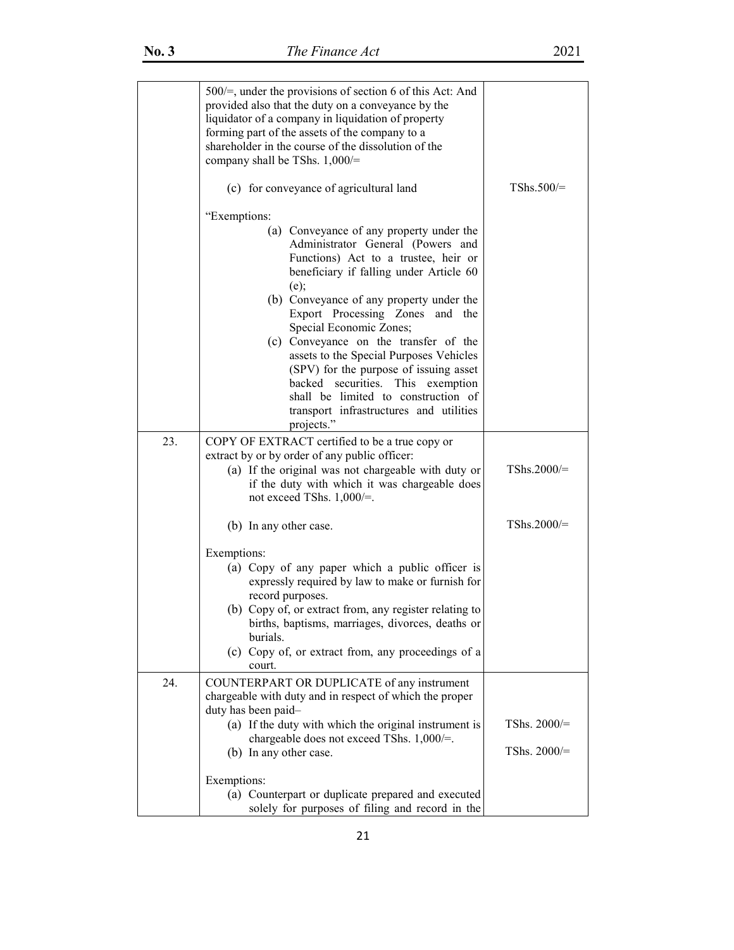|     | $500/$ =, under the provisions of section 6 of this Act: And<br>provided also that the duty on a conveyance by the<br>liquidator of a company in liquidation of property<br>forming part of the assets of the company to a<br>shareholder in the course of the dissolution of the<br>company shall be TShs. $1,000/=$ |                                |
|-----|-----------------------------------------------------------------------------------------------------------------------------------------------------------------------------------------------------------------------------------------------------------------------------------------------------------------------|--------------------------------|
|     | (c) for conveyance of agricultural land                                                                                                                                                                                                                                                                               | $TShs.500/=$                   |
|     | "Exemptions:                                                                                                                                                                                                                                                                                                          |                                |
|     | (a) Conveyance of any property under the<br>Administrator General (Powers and<br>Functions) Act to a trustee, heir or<br>beneficiary if falling under Article 60<br>(e);<br>(b) Conveyance of any property under the<br>Export Processing Zones and the<br>Special Economic Zones;                                    |                                |
|     | (c) Conveyance on the transfer of the<br>assets to the Special Purposes Vehicles<br>(SPV) for the purpose of issuing asset<br>securities.<br>This exemption<br>backed<br>shall be limited to construction of<br>transport infrastructures and utilities<br>projects."                                                 |                                |
| 23. | COPY OF EXTRACT certified to be a true copy or<br>extract by or by order of any public officer:<br>(a) If the original was not chargeable with duty or<br>if the duty with which it was chargeable does<br>not exceed TShs. $1,000/=$ .                                                                               | TShs.2000/=                    |
|     | (b) In any other case.                                                                                                                                                                                                                                                                                                | $TShs.2000/=$                  |
|     | Exemptions:<br>(a) Copy of any paper which a public officer is<br>expressly required by law to make or furnish for<br>record purposes.<br>(b) Copy of, or extract from, any register relating to                                                                                                                      |                                |
|     | births, baptisms, marriages, divorces, deaths or<br>burials.<br>(c) Copy of, or extract from, any proceedings of a<br>court.                                                                                                                                                                                          |                                |
| 24. | COUNTERPART OR DUPLICATE of any instrument<br>chargeable with duty and in respect of which the proper<br>duty has been paid-                                                                                                                                                                                          |                                |
|     | (a) If the duty with which the original instrument is<br>chargeable does not exceed TShs. 1,000/=.<br>(b) In any other case.                                                                                                                                                                                          | TShs. 2000/=<br>TShs. $2000/=$ |
|     | Exemptions:                                                                                                                                                                                                                                                                                                           |                                |
|     | (a) Counterpart or duplicate prepared and executed<br>solely for purposes of filing and record in the                                                                                                                                                                                                                 |                                |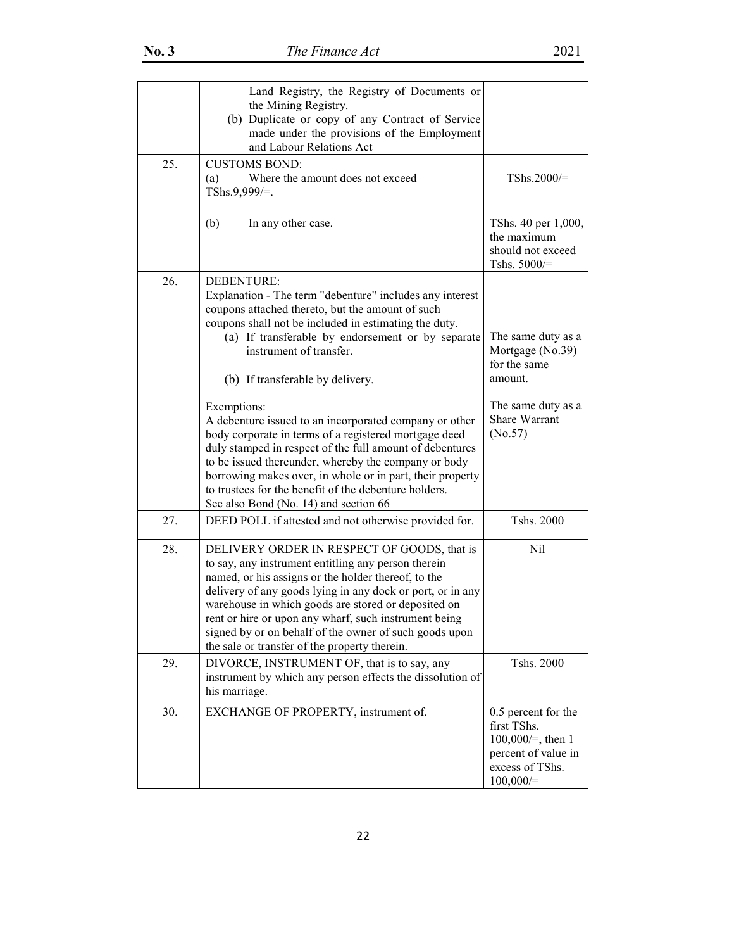|     | Land Registry, the Registry of Documents or<br>the Mining Registry.<br>(b) Duplicate or copy of any Contract of Service<br>made under the provisions of the Employment<br>and Labour Relations Act                                                                                                                                                                                                                                                                                                                                                                                                                                                                                                                           |                                                                                                                     |
|-----|------------------------------------------------------------------------------------------------------------------------------------------------------------------------------------------------------------------------------------------------------------------------------------------------------------------------------------------------------------------------------------------------------------------------------------------------------------------------------------------------------------------------------------------------------------------------------------------------------------------------------------------------------------------------------------------------------------------------------|---------------------------------------------------------------------------------------------------------------------|
| 25. | <b>CUSTOMS BOND:</b><br>Where the amount does not exceed<br>(a)<br>TShs.9,999/=.                                                                                                                                                                                                                                                                                                                                                                                                                                                                                                                                                                                                                                             | $TShs.2000/=$                                                                                                       |
|     | (b)<br>In any other case.                                                                                                                                                                                                                                                                                                                                                                                                                                                                                                                                                                                                                                                                                                    | TShs. 40 per 1,000,<br>the maximum<br>should not exceed<br>Tshs. 5000/=                                             |
| 26. | DEBENTURE:<br>Explanation - The term "debenture" includes any interest<br>coupons attached thereto, but the amount of such<br>coupons shall not be included in estimating the duty.<br>(a) If transferable by endorsement or by separate<br>instrument of transfer.<br>(b) If transferable by delivery.<br>Exemptions:<br>A debenture issued to an incorporated company or other<br>body corporate in terms of a registered mortgage deed<br>duly stamped in respect of the full amount of debentures<br>to be issued thereunder, whereby the company or body<br>borrowing makes over, in whole or in part, their property<br>to trustees for the benefit of the debenture holders.<br>See also Bond (No. 14) and section 66 | The same duty as a<br>Mortgage (No.39)<br>for the same<br>amount.<br>The same duty as a<br>Share Warrant<br>(No.57) |
| 27. | DEED POLL if attested and not otherwise provided for.                                                                                                                                                                                                                                                                                                                                                                                                                                                                                                                                                                                                                                                                        | Tshs. 2000                                                                                                          |
| 28. | DELIVERY ORDER IN RESPECT OF GOODS, that is<br>to say, any instrument entitling any person therein<br>named, or his assigns or the holder thereof, to the<br>delivery of any goods lying in any dock or port, or in any<br>warehouse in which goods are stored or deposited on<br>rent or hire or upon any wharf, such instrument being<br>signed by or on behalf of the owner of such goods upon<br>the sale or transfer of the property therein.                                                                                                                                                                                                                                                                           | Nil                                                                                                                 |
| 29. | DIVORCE, INSTRUMENT OF, that is to say, any<br>instrument by which any person effects the dissolution of<br>his marriage.                                                                                                                                                                                                                                                                                                                                                                                                                                                                                                                                                                                                    | Tshs. 2000                                                                                                          |
| 30. | EXCHANGE OF PROPERTY, instrument of.                                                                                                                                                                                                                                                                                                                                                                                                                                                                                                                                                                                                                                                                                         | 0.5 percent for the<br>first TShs.<br>$100,000/=$ , then 1<br>percent of value in<br>excess of TShs.<br>100,000/    |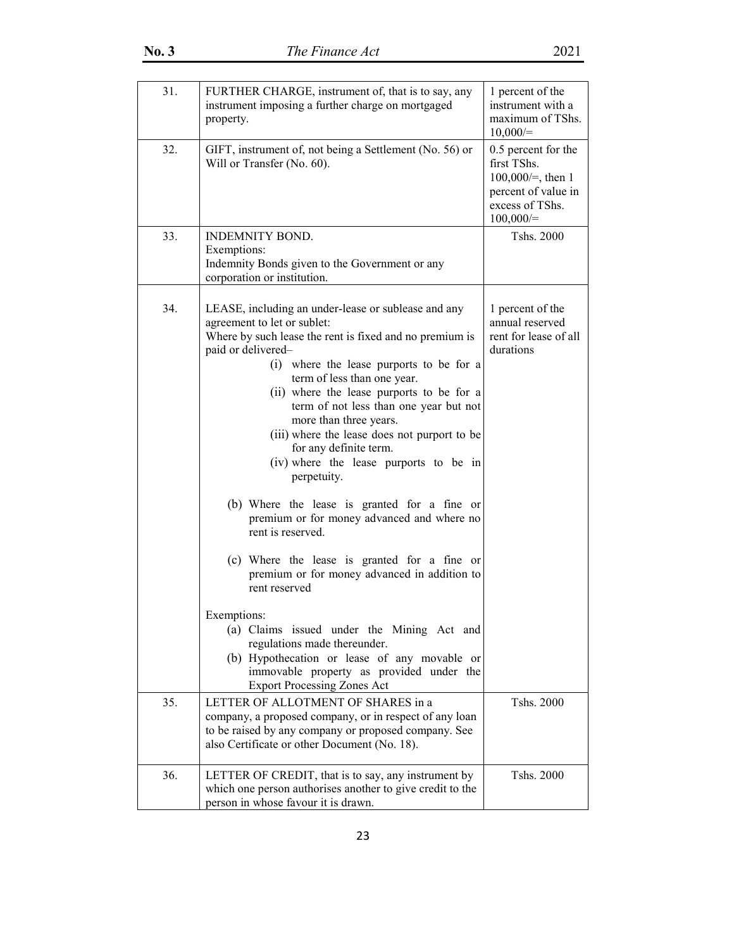| 31. | FURTHER CHARGE, instrument of, that is to say, any<br>instrument imposing a further charge on mortgaged<br>property.                                                                                                                                                                                                                                                                                                                                                                                                                                                                                                                                                                                                                                                                                                                                                                                                                                                  | 1 percent of the<br>instrument with a<br>maximum of TShs.<br>10,000/                                                |
|-----|-----------------------------------------------------------------------------------------------------------------------------------------------------------------------------------------------------------------------------------------------------------------------------------------------------------------------------------------------------------------------------------------------------------------------------------------------------------------------------------------------------------------------------------------------------------------------------------------------------------------------------------------------------------------------------------------------------------------------------------------------------------------------------------------------------------------------------------------------------------------------------------------------------------------------------------------------------------------------|---------------------------------------------------------------------------------------------------------------------|
| 32. | GIFT, instrument of, not being a Settlement (No. 56) or<br>Will or Transfer (No. 60).                                                                                                                                                                                                                                                                                                                                                                                                                                                                                                                                                                                                                                                                                                                                                                                                                                                                                 | 0.5 percent for the<br>first TShs.<br>$100,000/=$ , then 1<br>percent of value in<br>excess of TShs.<br>$100,000/=$ |
| 33. | <b>INDEMNITY BOND.</b><br>Exemptions:<br>Indemnity Bonds given to the Government or any<br>corporation or institution.                                                                                                                                                                                                                                                                                                                                                                                                                                                                                                                                                                                                                                                                                                                                                                                                                                                | Tshs. 2000                                                                                                          |
| 34. | LEASE, including an under-lease or sublease and any<br>agreement to let or sublet:<br>Where by such lease the rent is fixed and no premium is<br>paid or delivered-<br>(i) where the lease purports to be for a<br>term of less than one year.<br>(ii) where the lease purports to be for a<br>term of not less than one year but not<br>more than three years.<br>(iii) where the lease does not purport to be<br>for any definite term.<br>(iv) where the lease purports to be in<br>perpetuity.<br>(b) Where the lease is granted for a fine or<br>premium or for money advanced and where no<br>rent is reserved.<br>(c) Where the lease is granted for a fine or<br>premium or for money advanced in addition to<br>rent reserved<br>Exemptions:<br>(a) Claims issued under the Mining Act and<br>regulations made thereunder.<br>(b) Hypothecation or lease of any movable or<br>immovable property as provided under the<br><b>Export Processing Zones Act</b> | 1 percent of the<br>annual reserved<br>rent for lease of all<br>durations                                           |
| 35. | LETTER OF ALLOTMENT OF SHARES in a<br>company, a proposed company, or in respect of any loan<br>to be raised by any company or proposed company. See<br>also Certificate or other Document (No. 18).                                                                                                                                                                                                                                                                                                                                                                                                                                                                                                                                                                                                                                                                                                                                                                  | Tshs. 2000                                                                                                          |
| 36. | LETTER OF CREDIT, that is to say, any instrument by<br>which one person authorises another to give credit to the<br>person in whose favour it is drawn.                                                                                                                                                                                                                                                                                                                                                                                                                                                                                                                                                                                                                                                                                                                                                                                                               | Tshs. 2000                                                                                                          |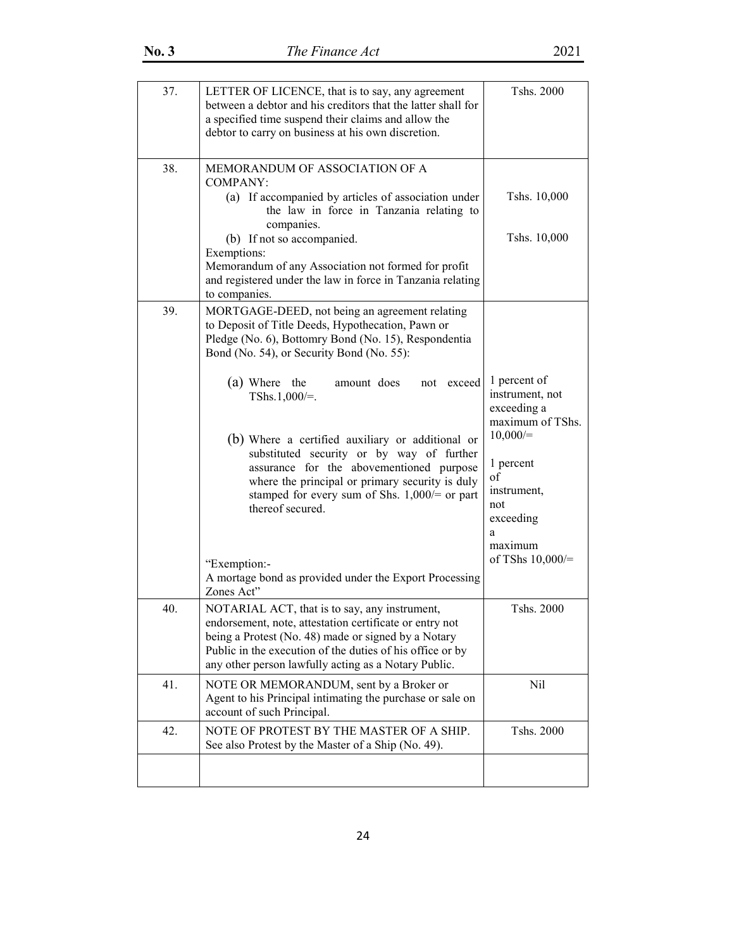| 37. | LETTER OF LICENCE, that is to say, any agreement<br>between a debtor and his creditors that the latter shall for<br>a specified time suspend their claims and allow the<br>debtor to carry on business at his own discretion.                                                                                                                                                                                                                                                                                                                                                                                                               | Tshs. 2000                                                                                                                                                                 |
|-----|---------------------------------------------------------------------------------------------------------------------------------------------------------------------------------------------------------------------------------------------------------------------------------------------------------------------------------------------------------------------------------------------------------------------------------------------------------------------------------------------------------------------------------------------------------------------------------------------------------------------------------------------|----------------------------------------------------------------------------------------------------------------------------------------------------------------------------|
| 38. | MEMORANDUM OF ASSOCIATION OF A<br><b>COMPANY:</b><br>(a) If accompanied by articles of association under<br>the law in force in Tanzania relating to<br>companies.<br>(b) If not so accompanied.<br>Exemptions:<br>Memorandum of any Association not formed for profit<br>and registered under the law in force in Tanzania relating<br>to companies.                                                                                                                                                                                                                                                                                       | Tshs. 10,000<br>Tshs. 10,000                                                                                                                                               |
| 39. | MORTGAGE-DEED, not being an agreement relating<br>to Deposit of Title Deeds, Hypothecation, Pawn or<br>Pledge (No. 6), Bottomry Bond (No. 15), Respondentia<br>Bond (No. 54), or Security Bond (No. 55):<br>(a) Where the<br>amount does<br>not exceed<br>TShs.1,000/ $=$ .<br>(b) Where a certified auxiliary or additional or<br>substituted security or by way of further<br>assurance for the abovementioned purpose<br>where the principal or primary security is duly<br>stamped for every sum of Shs. $1,000$ /= or part<br>thereof secured.<br>"Exemption:-<br>A mortage bond as provided under the Export Processing<br>Zones Act" | 1 percent of<br>instrument, not<br>exceeding a<br>maximum of TShs.<br>10,000/<br>1 percent<br>of<br>instrument,<br>not<br>exceeding<br>a<br>maximum<br>of TShs $10,000$ /= |
| 40. | NOTARIAL ACT, that is to say, any instrument,<br>endorsement, note, attestation certificate or entry not<br>being a Protest (No. 48) made or signed by a Notary<br>Public in the execution of the duties of his office or by<br>any other person lawfully acting as a Notary Public.                                                                                                                                                                                                                                                                                                                                                        | Tshs. 2000                                                                                                                                                                 |
| 41. | NOTE OR MEMORANDUM, sent by a Broker or<br>Agent to his Principal intimating the purchase or sale on<br>account of such Principal.                                                                                                                                                                                                                                                                                                                                                                                                                                                                                                          | Nil                                                                                                                                                                        |
| 42. | NOTE OF PROTEST BY THE MASTER OF A SHIP.<br>See also Protest by the Master of a Ship (No. 49).                                                                                                                                                                                                                                                                                                                                                                                                                                                                                                                                              | Tshs. 2000                                                                                                                                                                 |
|     |                                                                                                                                                                                                                                                                                                                                                                                                                                                                                                                                                                                                                                             |                                                                                                                                                                            |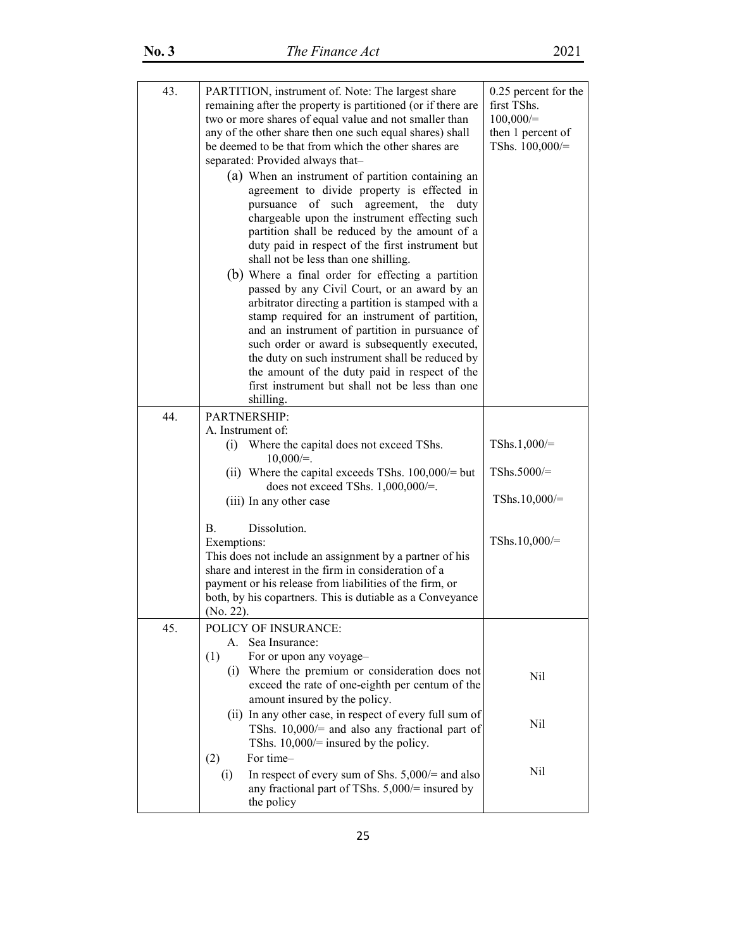| 43. | PARTITION, instrument of. Note: The largest share<br>remaining after the property is partitioned (or if there are<br>two or more shares of equal value and not smaller than<br>any of the other share then one such equal shares) shall<br>be deemed to be that from which the other shares are<br>separated: Provided always that-<br>(a) When an instrument of partition containing an                                    | 0.25 percent for the<br>first TShs.<br>100,000/<br>then 1 percent of<br>TShs. 100,000/= |
|-----|-----------------------------------------------------------------------------------------------------------------------------------------------------------------------------------------------------------------------------------------------------------------------------------------------------------------------------------------------------------------------------------------------------------------------------|-----------------------------------------------------------------------------------------|
|     | agreement to divide property is effected in<br>pursuance<br>of such agreement, the<br>duty<br>chargeable upon the instrument effecting such<br>partition shall be reduced by the amount of a<br>duty paid in respect of the first instrument but<br>shall not be less than one shilling.<br>(b) Where a final order for effecting a partition                                                                               |                                                                                         |
|     | passed by any Civil Court, or an award by an<br>arbitrator directing a partition is stamped with a<br>stamp required for an instrument of partition,<br>and an instrument of partition in pursuance of<br>such order or award is subsequently executed,<br>the duty on such instrument shall be reduced by<br>the amount of the duty paid in respect of the<br>first instrument but shall not be less than one<br>shilling. |                                                                                         |
| 44. | <b>PARTNERSHIP:</b>                                                                                                                                                                                                                                                                                                                                                                                                         |                                                                                         |
|     | A. Instrument of:                                                                                                                                                                                                                                                                                                                                                                                                           |                                                                                         |
|     | Where the capital does not exceed TShs.<br>(i)<br>$10,000/=$ .                                                                                                                                                                                                                                                                                                                                                              | TShs.1,000/ $=$                                                                         |
|     | (ii) Where the capital exceeds TShs. $100,000/$ = but<br>does not exceed TShs. $1,000,000/=$ .                                                                                                                                                                                                                                                                                                                              | TShs.5000/=                                                                             |
|     | (iii) In any other case                                                                                                                                                                                                                                                                                                                                                                                                     | TShs.10,000/ $=$                                                                        |
|     | Dissolution.<br><b>B.</b><br>Exemptions:<br>This does not include an assignment by a partner of his<br>share and interest in the firm in consideration of a<br>payment or his release from liabilities of the firm, or<br>both, by his copartners. This is dutiable as a Conveyance<br>(No. 22).                                                                                                                            | TShs. $10,000/$ =                                                                       |
| 45. | POLICY OF INSURANCE:                                                                                                                                                                                                                                                                                                                                                                                                        |                                                                                         |
|     | Sea Insurance:<br>A.<br>(1)<br>For or upon any voyage-                                                                                                                                                                                                                                                                                                                                                                      |                                                                                         |
|     | (i) Where the premium or consideration does not<br>exceed the rate of one-eighth per centum of the<br>amount insured by the policy.                                                                                                                                                                                                                                                                                         | Nil                                                                                     |
|     | (ii) In any other case, in respect of every full sum of<br>TShs. $10,000/=$ and also any fractional part of<br>TShs. $10,000$ /= insured by the policy.<br>For time-<br>(2)                                                                                                                                                                                                                                                 | Nil                                                                                     |
|     | In respect of every sum of Shs. $5,000/$ = and also<br>(i)<br>any fractional part of TShs. 5,000/= insured by<br>the policy                                                                                                                                                                                                                                                                                                 | Nil                                                                                     |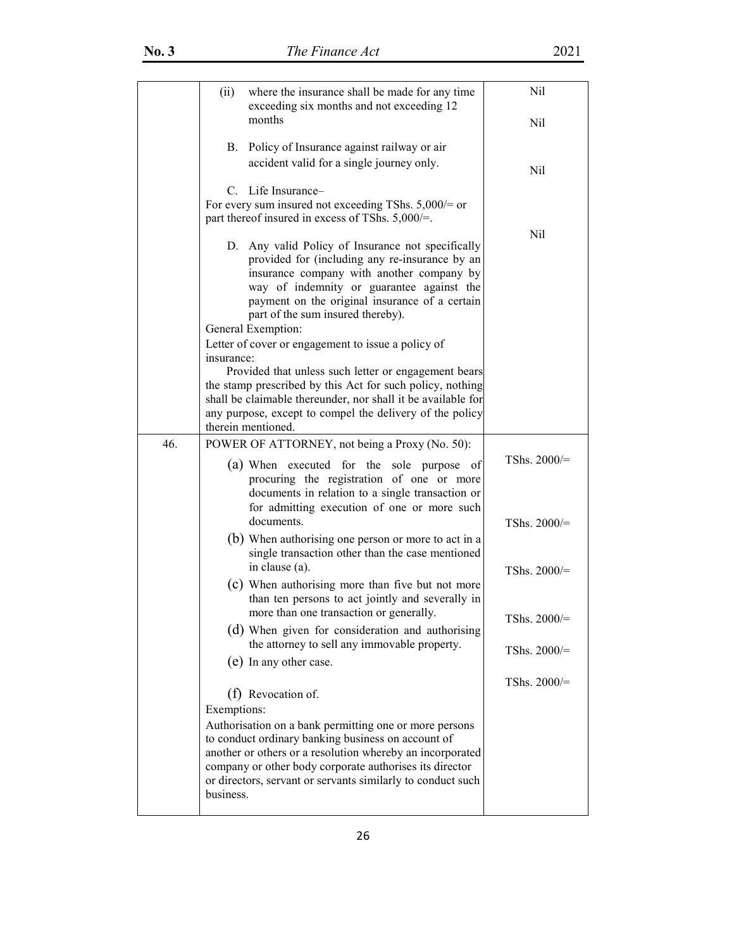|     | (ii)<br>where the insurance shall be made for any time<br>exceeding six months and not exceeding 12                                                                                                                                                                                                              | Nil            |
|-----|------------------------------------------------------------------------------------------------------------------------------------------------------------------------------------------------------------------------------------------------------------------------------------------------------------------|----------------|
|     | months                                                                                                                                                                                                                                                                                                           | Nil            |
|     | Policy of Insurance against railway or air<br><b>B.</b><br>accident valid for a single journey only.                                                                                                                                                                                                             | Nil            |
|     | C. Life Insurance-<br>For every sum insured not exceeding TShs. $5,000$ /= or<br>part thereof insured in excess of TShs. 5,000/=.                                                                                                                                                                                |                |
|     | D. Any valid Policy of Insurance not specifically<br>provided for (including any re-insurance by an<br>insurance company with another company by<br>way of indemnity or guarantee against the<br>payment on the original insurance of a certain<br>part of the sum insured thereby).<br>General Exemption:       | Nil            |
|     | Letter of cover or engagement to issue a policy of                                                                                                                                                                                                                                                               |                |
|     | insurance:<br>Provided that unless such letter or engagement bears<br>the stamp prescribed by this Act for such policy, nothing<br>shall be claimable thereunder, nor shall it be available for<br>any purpose, except to compel the delivery of the policy<br>therein mentioned.                                |                |
| 46. | POWER OF ATTORNEY, not being a Proxy (No. 50):                                                                                                                                                                                                                                                                   |                |
|     | (a) When executed for the sole purpose of<br>procuring the registration of one or more<br>documents in relation to a single transaction or<br>for admitting execution of one or more such                                                                                                                        | TShs. $2000/=$ |
|     | documents.<br>(b) When authorising one person or more to act in a<br>single transaction other than the case mentioned                                                                                                                                                                                            | TShs. $2000/=$ |
|     | in clause (a).<br>(c) When authorising more than five but not more                                                                                                                                                                                                                                               | TShs. $2000/=$ |
|     | than ten persons to act jointly and severally in<br>more than one transaction or generally.                                                                                                                                                                                                                      | TShs. 2000/=   |
|     | (d) When given for consideration and authorising<br>the attorney to sell any immovable property.                                                                                                                                                                                                                 | TShs. $2000/=$ |
|     | (e) In any other case.                                                                                                                                                                                                                                                                                           | TShs. $2000/=$ |
|     | (f) Revocation of.<br>Exemptions:                                                                                                                                                                                                                                                                                |                |
|     | Authorisation on a bank permitting one or more persons<br>to conduct ordinary banking business on account of<br>another or others or a resolution whereby an incorporated<br>company or other body corporate authorises its director<br>or directors, servant or servants similarly to conduct such<br>business. |                |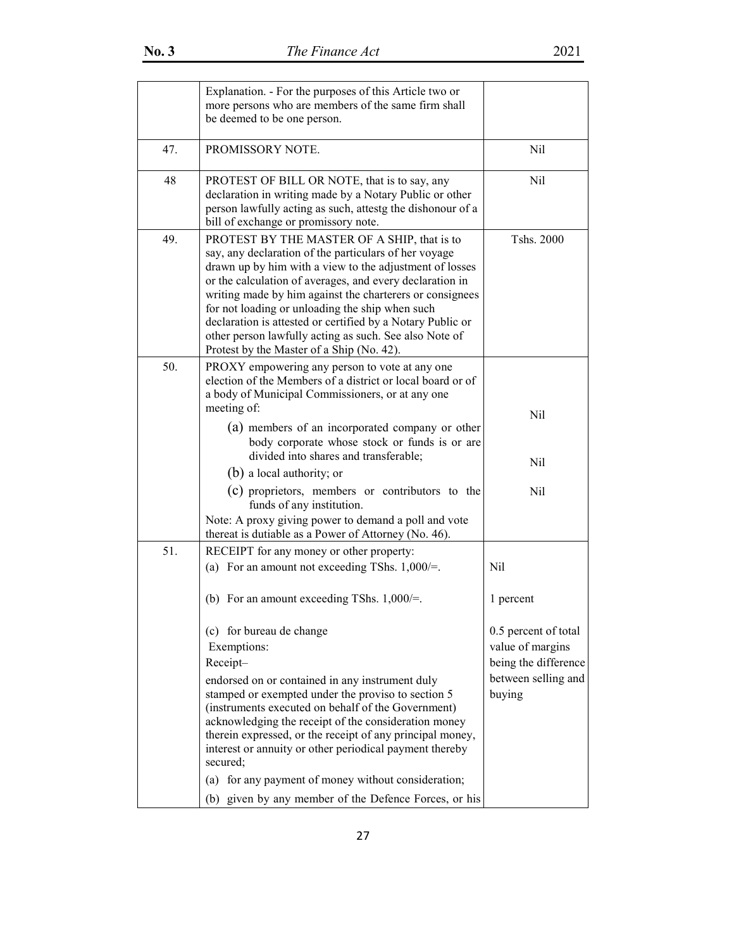|     | Explanation. - For the purposes of this Article two or<br>more persons who are members of the same firm shall<br>be deemed to be one person.                                                                                                                                                                                                                                                                                                                                                                    |                                                                  |
|-----|-----------------------------------------------------------------------------------------------------------------------------------------------------------------------------------------------------------------------------------------------------------------------------------------------------------------------------------------------------------------------------------------------------------------------------------------------------------------------------------------------------------------|------------------------------------------------------------------|
| 47. | PROMISSORY NOTE.                                                                                                                                                                                                                                                                                                                                                                                                                                                                                                | Nil                                                              |
| 48  | PROTEST OF BILL OR NOTE, that is to say, any<br>declaration in writing made by a Notary Public or other<br>person lawfully acting as such, attestg the dishonour of a<br>bill of exchange or promissory note.                                                                                                                                                                                                                                                                                                   | Nil                                                              |
| 49. | PROTEST BY THE MASTER OF A SHIP, that is to<br>say, any declaration of the particulars of her voyage<br>drawn up by him with a view to the adjustment of losses<br>or the calculation of averages, and every declaration in<br>writing made by him against the charterers or consignees<br>for not loading or unloading the ship when such<br>declaration is attested or certified by a Notary Public or<br>other person lawfully acting as such. See also Note of<br>Protest by the Master of a Ship (No. 42). | Tshs. 2000                                                       |
| 50. | PROXY empowering any person to vote at any one<br>election of the Members of a district or local board or of<br>a body of Municipal Commissioners, or at any one<br>meeting of:                                                                                                                                                                                                                                                                                                                                 | Nil                                                              |
|     | (a) members of an incorporated company or other<br>body corporate whose stock or funds is or are<br>divided into shares and transferable;                                                                                                                                                                                                                                                                                                                                                                       |                                                                  |
|     | (b) a local authority; or                                                                                                                                                                                                                                                                                                                                                                                                                                                                                       | Nil                                                              |
|     | (c) proprietors, members or contributors to the<br>funds of any institution.                                                                                                                                                                                                                                                                                                                                                                                                                                    | Nil                                                              |
|     | Note: A proxy giving power to demand a poll and vote<br>thereat is dutiable as a Power of Attorney (No. 46).                                                                                                                                                                                                                                                                                                                                                                                                    |                                                                  |
| 51. | RECEIPT for any money or other property:<br>(a) For an amount not exceeding TShs. $1,000/=$ .                                                                                                                                                                                                                                                                                                                                                                                                                   | Nil                                                              |
|     | (b) For an amount exceeding TShs. $1,000/=$ .                                                                                                                                                                                                                                                                                                                                                                                                                                                                   | 1 percent                                                        |
|     | (c) for bureau de change<br>Exemptions:<br>Receipt-                                                                                                                                                                                                                                                                                                                                                                                                                                                             | 0.5 percent of total<br>value of margins<br>being the difference |
|     | endorsed on or contained in any instrument duly<br>stamped or exempted under the proviso to section 5<br>(instruments executed on behalf of the Government)<br>acknowledging the receipt of the consideration money<br>therein expressed, or the receipt of any principal money,<br>interest or annuity or other periodical payment thereby<br>secured;                                                                                                                                                         | between selling and<br>buying                                    |
|     | for any payment of money without consideration;<br>(a)<br>(b) given by any member of the Defence Forces, or his                                                                                                                                                                                                                                                                                                                                                                                                 |                                                                  |
|     |                                                                                                                                                                                                                                                                                                                                                                                                                                                                                                                 |                                                                  |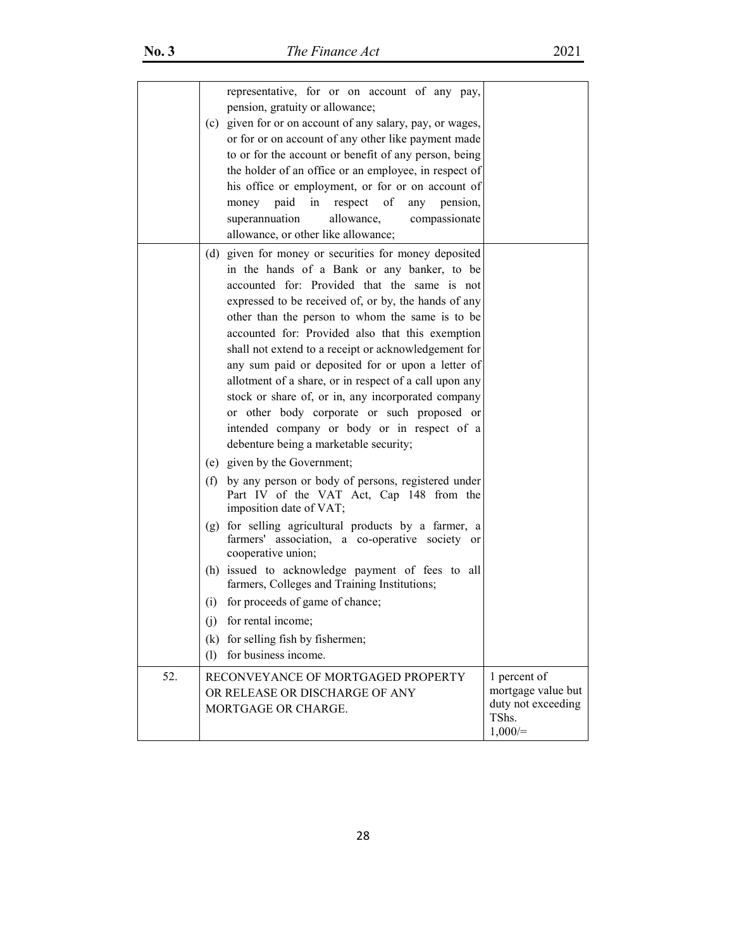|     |     | representative, for or on account of any pay,<br>pension, gratuity or allowance;<br>(c) given for or on account of any salary, pay, or wages,<br>or for or on account of any other like payment made<br>to or for the account or benefit of any person, being<br>the holder of an office or an employee, in respect of<br>his office or employment, or for or on account of<br>respect<br>of<br>money paid<br>in<br>pension,<br>any<br>allowance,<br>superannuation<br>compassionate<br>allowance, or other like allowance;                                                                                                                                                                                              |                                                                                |
|-----|-----|--------------------------------------------------------------------------------------------------------------------------------------------------------------------------------------------------------------------------------------------------------------------------------------------------------------------------------------------------------------------------------------------------------------------------------------------------------------------------------------------------------------------------------------------------------------------------------------------------------------------------------------------------------------------------------------------------------------------------|--------------------------------------------------------------------------------|
|     |     | (d) given for money or securities for money deposited<br>in the hands of a Bank or any banker, to be<br>accounted for: Provided that the same is not<br>expressed to be received of, or by, the hands of any<br>other than the person to whom the same is to be<br>accounted for: Provided also that this exemption<br>shall not extend to a receipt or acknowledgement for<br>any sum paid or deposited for or upon a letter of<br>allotment of a share, or in respect of a call upon any<br>stock or share of, or in, any incorporated company<br>or other body corporate or such proposed or<br>intended company or body or in respect of a<br>debenture being a marketable security;<br>(e) given by the Government; |                                                                                |
|     | (f) | by any person or body of persons, registered under<br>Part IV of the VAT Act, Cap 148 from the<br>imposition date of VAT;                                                                                                                                                                                                                                                                                                                                                                                                                                                                                                                                                                                                |                                                                                |
|     |     | (g) for selling agricultural products by a farmer, a<br>farmers' association, a co-operative society or<br>cooperative union;                                                                                                                                                                                                                                                                                                                                                                                                                                                                                                                                                                                            |                                                                                |
|     |     | (h) issued to acknowledge payment of fees to all<br>farmers, Colleges and Training Institutions;                                                                                                                                                                                                                                                                                                                                                                                                                                                                                                                                                                                                                         |                                                                                |
|     | (i) | for proceeds of game of chance;                                                                                                                                                                                                                                                                                                                                                                                                                                                                                                                                                                                                                                                                                          |                                                                                |
|     | (i) | for rental income;                                                                                                                                                                                                                                                                                                                                                                                                                                                                                                                                                                                                                                                                                                       |                                                                                |
|     |     | (k) for selling fish by fishermen;                                                                                                                                                                                                                                                                                                                                                                                                                                                                                                                                                                                                                                                                                       |                                                                                |
|     | (1) | for business income.                                                                                                                                                                                                                                                                                                                                                                                                                                                                                                                                                                                                                                                                                                     |                                                                                |
| 52. |     | RECONVEYANCE OF MORTGAGED PROPERTY<br>OR RELEASE OR DISCHARGE OF ANY<br>MORTGAGE OR CHARGE.                                                                                                                                                                                                                                                                                                                                                                                                                                                                                                                                                                                                                              | 1 percent of<br>mortgage value but<br>duty not exceeding<br>TShs.<br>$1,000/=$ |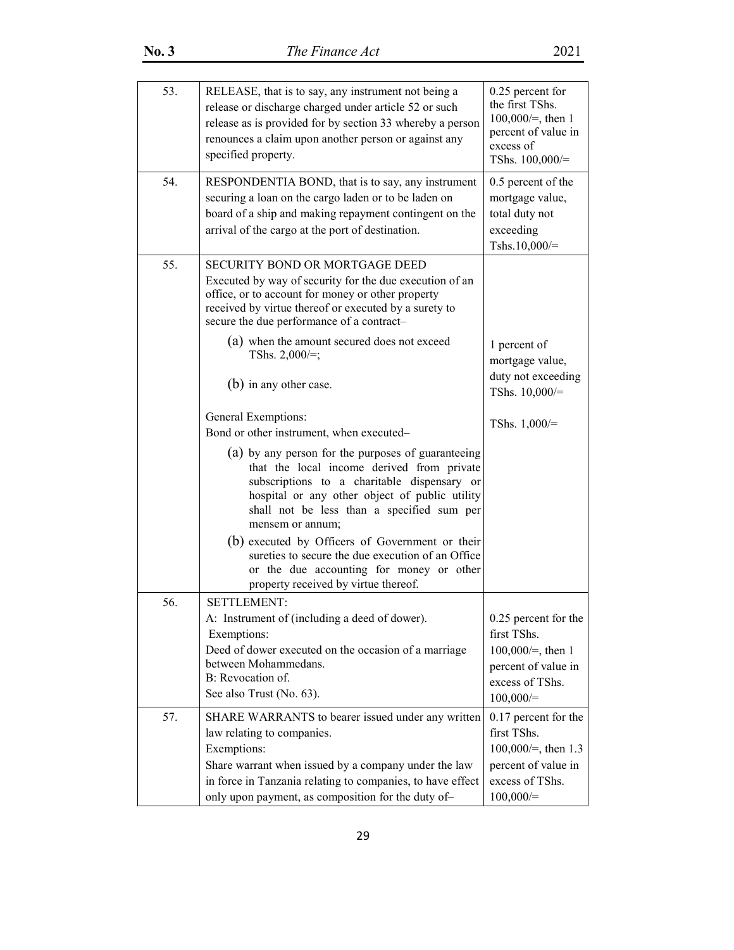| 53. | RELEASE, that is to say, any instrument not being a<br>release or discharge charged under article 52 or such<br>release as is provided for by section 33 whereby a person<br>renounces a claim upon another person or against any<br>specified property.                                                                                                                                                                                                                                                                                                                                                                                                                                                                                                    | 0.25 percent for<br>the first TShs.<br>$100,000/=$ , then 1<br>percent of value in<br>excess of<br>TShs. $100,000/=$ |
|-----|-------------------------------------------------------------------------------------------------------------------------------------------------------------------------------------------------------------------------------------------------------------------------------------------------------------------------------------------------------------------------------------------------------------------------------------------------------------------------------------------------------------------------------------------------------------------------------------------------------------------------------------------------------------------------------------------------------------------------------------------------------------|----------------------------------------------------------------------------------------------------------------------|
| 54. | RESPONDENTIA BOND, that is to say, any instrument<br>securing a loan on the cargo laden or to be laden on<br>board of a ship and making repayment contingent on the<br>arrival of the cargo at the port of destination.                                                                                                                                                                                                                                                                                                                                                                                                                                                                                                                                     | 0.5 percent of the<br>mortgage value,<br>total duty not<br>exceeding<br>Tshs.10,000/ $=$                             |
| 55. | <b>SECURITY BOND OR MORTGAGE DEED</b><br>Executed by way of security for the due execution of an<br>office, or to account for money or other property<br>received by virtue thereof or executed by a surety to<br>secure the due performance of a contract-<br>(a) when the amount secured does not exceed<br>TShs. $2,000/\equiv$ ;<br>(b) in any other case.<br>General Exemptions:<br>Bond or other instrument, when executed-<br>(a) by any person for the purposes of guaranteeing<br>that the local income derived from private<br>subscriptions to a charitable dispensary or<br>hospital or any other object of public utility<br>shall not be less than a specified sum per<br>mensem or annum;<br>(b) executed by Officers of Government or their | 1 percent of<br>mortgage value,<br>duty not exceeding<br>TShs. $10,000/=$<br>TShs. $1,000/=$                         |
|     | sureties to secure the due execution of an Office<br>or the due accounting for money or other<br>property received by virtue thereof.                                                                                                                                                                                                                                                                                                                                                                                                                                                                                                                                                                                                                       |                                                                                                                      |
| 56. | <b>SETTLEMENT:</b><br>A: Instrument of (including a deed of dower).<br>Exemptions:<br>Deed of dower executed on the occasion of a marriage<br>between Mohammedans.<br>B: Revocation of.<br>See also Trust (No. 63).                                                                                                                                                                                                                                                                                                                                                                                                                                                                                                                                         | 0.25 percent for the<br>first TShs.<br>$100,000/=$ , then 1<br>percent of value in<br>excess of TShs.<br>100,000/    |
| 57. | SHARE WARRANTS to bearer issued under any written<br>law relating to companies.<br>Exemptions:<br>Share warrant when issued by a company under the law<br>in force in Tanzania relating to companies, to have effect<br>only upon payment, as composition for the duty of-                                                                                                                                                                                                                                                                                                                                                                                                                                                                                  | 0.17 percent for the<br>first TShs.<br>$100,000/=$ , then 1.3<br>percent of value in<br>excess of TShs.<br>100,000/  |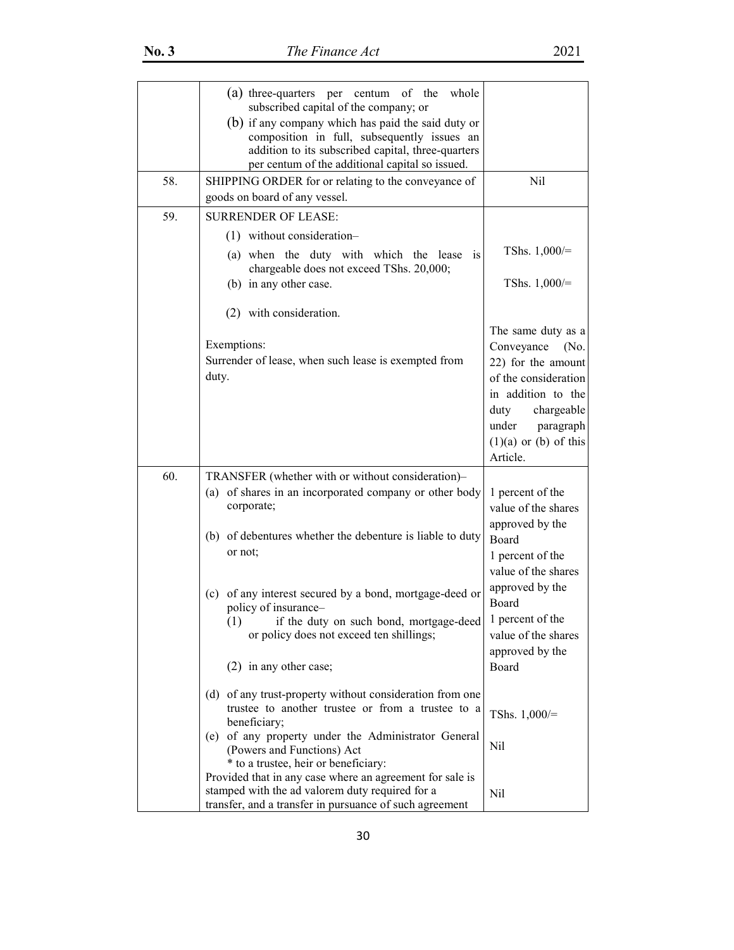|     | (a) three-quarters per centum of the<br>whole<br>subscribed capital of the company; or<br>(b) if any company which has paid the said duty or<br>composition in full, subsequently issues an<br>addition to its subscribed capital, three-quarters<br>per centum of the additional capital so issued. |                                                                                                                                                                                                   |
|-----|------------------------------------------------------------------------------------------------------------------------------------------------------------------------------------------------------------------------------------------------------------------------------------------------------|---------------------------------------------------------------------------------------------------------------------------------------------------------------------------------------------------|
| 58. | SHIPPING ORDER for or relating to the conveyance of<br>goods on board of any vessel.                                                                                                                                                                                                                 | Nil                                                                                                                                                                                               |
| 59. | <b>SURRENDER OF LEASE:</b>                                                                                                                                                                                                                                                                           |                                                                                                                                                                                                   |
|     | $(1)$ without consideration-                                                                                                                                                                                                                                                                         |                                                                                                                                                                                                   |
|     | (a) when the duty with which the lease is<br>chargeable does not exceed TShs. 20,000;                                                                                                                                                                                                                | TShs. $1,000/=$                                                                                                                                                                                   |
|     | (b) in any other case.                                                                                                                                                                                                                                                                               | TShs. $1,000/=$                                                                                                                                                                                   |
|     | (2) with consideration.                                                                                                                                                                                                                                                                              |                                                                                                                                                                                                   |
|     | Exemptions:<br>Surrender of lease, when such lease is exempted from<br>duty.                                                                                                                                                                                                                         | The same duty as a<br>Conveyance<br>(No.<br>22) for the amount<br>of the consideration<br>in addition to the<br>chargeable<br>duty<br>under<br>paragraph<br>$(1)(a)$ or $(b)$ of this<br>Article. |
| 60. | TRANSFER (whether with or without consideration)-                                                                                                                                                                                                                                                    |                                                                                                                                                                                                   |
|     | (a) of shares in an incorporated company or other body<br>corporate;                                                                                                                                                                                                                                 | 1 percent of the<br>value of the shares                                                                                                                                                           |
|     | (b) of debentures whether the debenture is liable to duty<br>or not;                                                                                                                                                                                                                                 | approved by the<br>Board<br>1 percent of the<br>value of the shares                                                                                                                               |
|     | (c) of any interest secured by a bond, mortgage-deed or<br>policy of insurance-<br>(1) if the duty on such bond, mortgage-deed<br>or policy does not exceed ten shillings;<br>$(2)$ in any other case;                                                                                               | approved by the<br>Board<br>1 percent of the<br>value of the shares<br>approved by the<br>Board                                                                                                   |
|     | (d) of any trust-property without consideration from one<br>trustee to another trustee or from a trustee to a<br>beneficiary;<br>(e) of any property under the Administrator General<br>(Powers and Functions) Act<br>* to a trustee, heir or beneficiary:                                           | TShs. $1,000/=$<br>Nil                                                                                                                                                                            |
|     | Provided that in any case where an agreement for sale is<br>stamped with the ad valorem duty required for a<br>transfer, and a transfer in pursuance of such agreement                                                                                                                               | Nil                                                                                                                                                                                               |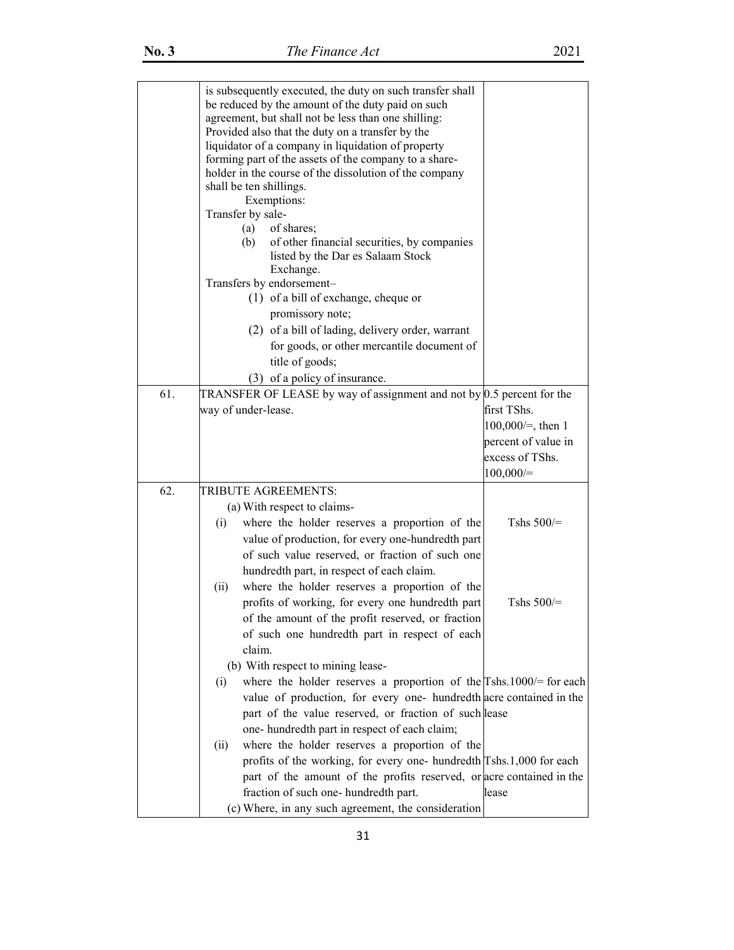|     | is subsequently executed, the duty on such transfer shall<br>be reduced by the amount of the duty paid on such<br>agreement, but shall not be less than one shilling:<br>Provided also that the duty on a transfer by the<br>liquidator of a company in liquidation of property<br>forming part of the assets of the company to a share-<br>holder in the course of the dissolution of the company<br>shall be ten shillings.<br>Exemptions:<br>Transfer by sale-<br>(a)<br>of shares;<br>of other financial securities, by companies<br>(b)<br>listed by the Dar es Salaam Stock<br>Exchange.<br>Transfers by endorsement-<br>$(1)$ of a bill of exchange, cheque or<br>promissory note; |                      |
|-----|-------------------------------------------------------------------------------------------------------------------------------------------------------------------------------------------------------------------------------------------------------------------------------------------------------------------------------------------------------------------------------------------------------------------------------------------------------------------------------------------------------------------------------------------------------------------------------------------------------------------------------------------------------------------------------------------|----------------------|
|     | (2) of a bill of lading, delivery order, warrant                                                                                                                                                                                                                                                                                                                                                                                                                                                                                                                                                                                                                                          |                      |
|     | for goods, or other mercantile document of                                                                                                                                                                                                                                                                                                                                                                                                                                                                                                                                                                                                                                                |                      |
|     | title of goods;                                                                                                                                                                                                                                                                                                                                                                                                                                                                                                                                                                                                                                                                           |                      |
| 61. | (3) of a policy of insurance.<br>TRANSFER OF LEASE by way of assignment and not by $0.5$ percent for the                                                                                                                                                                                                                                                                                                                                                                                                                                                                                                                                                                                  |                      |
|     | way of under-lease.                                                                                                                                                                                                                                                                                                                                                                                                                                                                                                                                                                                                                                                                       | first TShs.          |
|     |                                                                                                                                                                                                                                                                                                                                                                                                                                                                                                                                                                                                                                                                                           | $100,000/=$ , then 1 |
|     |                                                                                                                                                                                                                                                                                                                                                                                                                                                                                                                                                                                                                                                                                           | percent of value in  |
|     |                                                                                                                                                                                                                                                                                                                                                                                                                                                                                                                                                                                                                                                                                           | excess of TShs.      |
|     |                                                                                                                                                                                                                                                                                                                                                                                                                                                                                                                                                                                                                                                                                           | 100,000/             |
| 62. | TRIBUTE AGREEMENTS:                                                                                                                                                                                                                                                                                                                                                                                                                                                                                                                                                                                                                                                                       |                      |
|     | (a) With respect to claims-<br>where the holder reserves a proportion of the<br>(i)                                                                                                                                                                                                                                                                                                                                                                                                                                                                                                                                                                                                       | Tshs $500/$ =        |
|     | value of production, for every one-hundredth part                                                                                                                                                                                                                                                                                                                                                                                                                                                                                                                                                                                                                                         |                      |
|     | of such value reserved, or fraction of such one                                                                                                                                                                                                                                                                                                                                                                                                                                                                                                                                                                                                                                           |                      |
|     | hundredth part, in respect of each claim.                                                                                                                                                                                                                                                                                                                                                                                                                                                                                                                                                                                                                                                 |                      |
|     | where the holder reserves a proportion of the<br>(ii)                                                                                                                                                                                                                                                                                                                                                                                                                                                                                                                                                                                                                                     |                      |
|     | profits of working, for every one hundredth part                                                                                                                                                                                                                                                                                                                                                                                                                                                                                                                                                                                                                                          | Tshs $500$ /=        |
|     | of the amount of the profit reserved, or fraction                                                                                                                                                                                                                                                                                                                                                                                                                                                                                                                                                                                                                                         |                      |
|     | of such one hundredth part in respect of each                                                                                                                                                                                                                                                                                                                                                                                                                                                                                                                                                                                                                                             |                      |
|     | claim.                                                                                                                                                                                                                                                                                                                                                                                                                                                                                                                                                                                                                                                                                    |                      |
|     | (b) With respect to mining lease-                                                                                                                                                                                                                                                                                                                                                                                                                                                                                                                                                                                                                                                         |                      |
|     | where the holder reserves a proportion of the $\Gamma$ shs.1000/= for each<br>(i)                                                                                                                                                                                                                                                                                                                                                                                                                                                                                                                                                                                                         |                      |
|     | value of production, for every one- hundredth acre contained in the<br>part of the value reserved, or fraction of such lease                                                                                                                                                                                                                                                                                                                                                                                                                                                                                                                                                              |                      |
|     | one-hundredth part in respect of each claim;                                                                                                                                                                                                                                                                                                                                                                                                                                                                                                                                                                                                                                              |                      |
|     | where the holder reserves a proportion of the<br>(ii)                                                                                                                                                                                                                                                                                                                                                                                                                                                                                                                                                                                                                                     |                      |
|     | profits of the working, for every one- hundredth Tshs.1,000 for each                                                                                                                                                                                                                                                                                                                                                                                                                                                                                                                                                                                                                      |                      |
|     | part of the amount of the profits reserved, or acre contained in the                                                                                                                                                                                                                                                                                                                                                                                                                                                                                                                                                                                                                      |                      |
|     | fraction of such one-hundredth part.                                                                                                                                                                                                                                                                                                                                                                                                                                                                                                                                                                                                                                                      | lease                |
|     | (c) Where, in any such agreement, the consideration                                                                                                                                                                                                                                                                                                                                                                                                                                                                                                                                                                                                                                       |                      |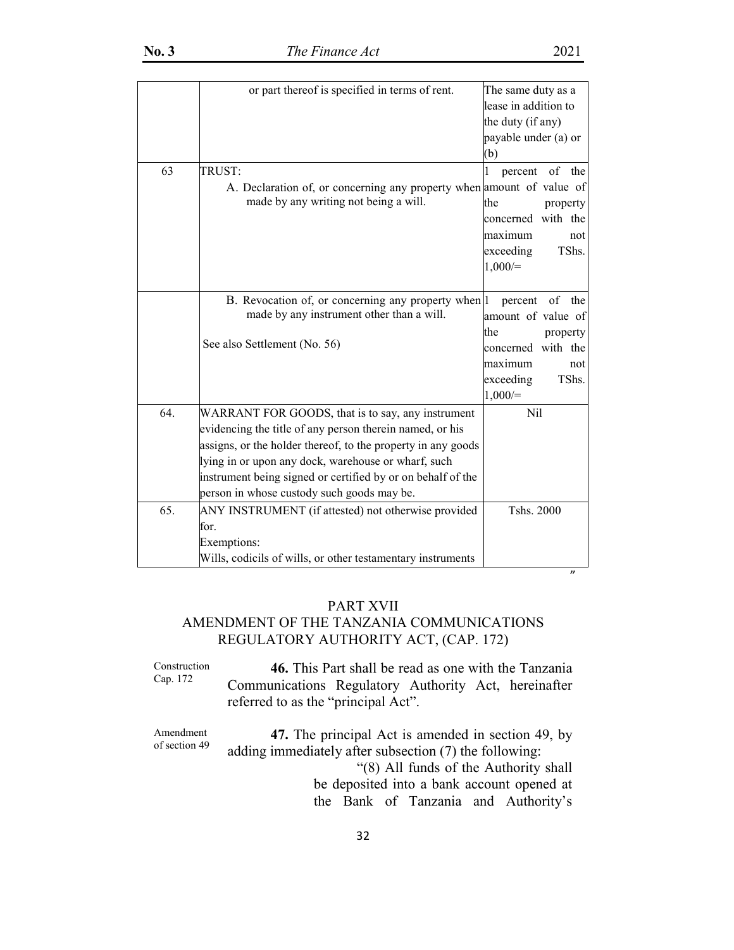|     | or part thereof is specified in terms of rent.                                                            | The same duty as a<br>lease in addition to<br>the duty (if any)<br>payable under (a) or |           |
|-----|-----------------------------------------------------------------------------------------------------------|-----------------------------------------------------------------------------------------|-----------|
|     |                                                                                                           | (b)                                                                                     |           |
| 63  | TRUST:                                                                                                    | $\mathbf{1}$<br>percent                                                                 | of the    |
|     | A. Declaration of, or concerning any property when amount of value of                                     |                                                                                         |           |
|     | made by any writing not being a will.                                                                     | the                                                                                     | property  |
|     |                                                                                                           | concerned with the                                                                      |           |
|     |                                                                                                           | maximum                                                                                 | not       |
|     |                                                                                                           | exceeding                                                                               | TShs.     |
|     |                                                                                                           | $1,000/=$                                                                               |           |
|     | B. Revocation of, or concerning any property when  1                                                      | percent                                                                                 | of<br>the |
|     | made by any instrument other than a will.                                                                 | amount of value of                                                                      |           |
|     |                                                                                                           | the                                                                                     | property  |
|     | See also Settlement (No. 56)                                                                              | concerned with the                                                                      |           |
|     |                                                                                                           | maximum                                                                                 | not       |
|     |                                                                                                           | exceeding                                                                               | TShs.     |
|     |                                                                                                           | $1,000/=$                                                                               |           |
| 64. | WARRANT FOR GOODS, that is to say, any instrument                                                         | Nil                                                                                     |           |
|     | evidencing the title of any person therein named, or his                                                  |                                                                                         |           |
|     | assigns, or the holder thereof, to the property in any goods                                              |                                                                                         |           |
|     | lying in or upon any dock, warehouse or wharf, such                                                       |                                                                                         |           |
|     | instrument being signed or certified by or on behalf of the<br>person in whose custody such goods may be. |                                                                                         |           |
| 65. |                                                                                                           | Tshs. 2000                                                                              |           |
|     | ANY INSTRUMENT (if attested) not otherwise provided<br>for.                                               |                                                                                         |           |
|     | Exemptions:                                                                                               |                                                                                         |           |
|     | Wills, codicils of wills, or other testamentary instruments                                               |                                                                                         |           |

# PART XVII

n and the state of the state of the state of the state of the state of the state of the state of the state of the state of the state of the state of the state of the state of the state of the state of the state of the stat

# AMENDMENT OF THE TANZANIA COMMUNICATIONS REGULATORY AUTHORITY ACT, (CAP. 172)

Construction Cap. 172 **46.** This Part shall be read as one with the Tanzania Communications Regulatory Authority Act, hereinafter referred to as the "principal Act".

Amendment of section 49 **47.** The principal Act is amended in section 49, by adding immediately after subsection (7) the following: "(8) All funds of the Authority shall be deposited into a bank account opened at

the Bank of Tanzania and Authority's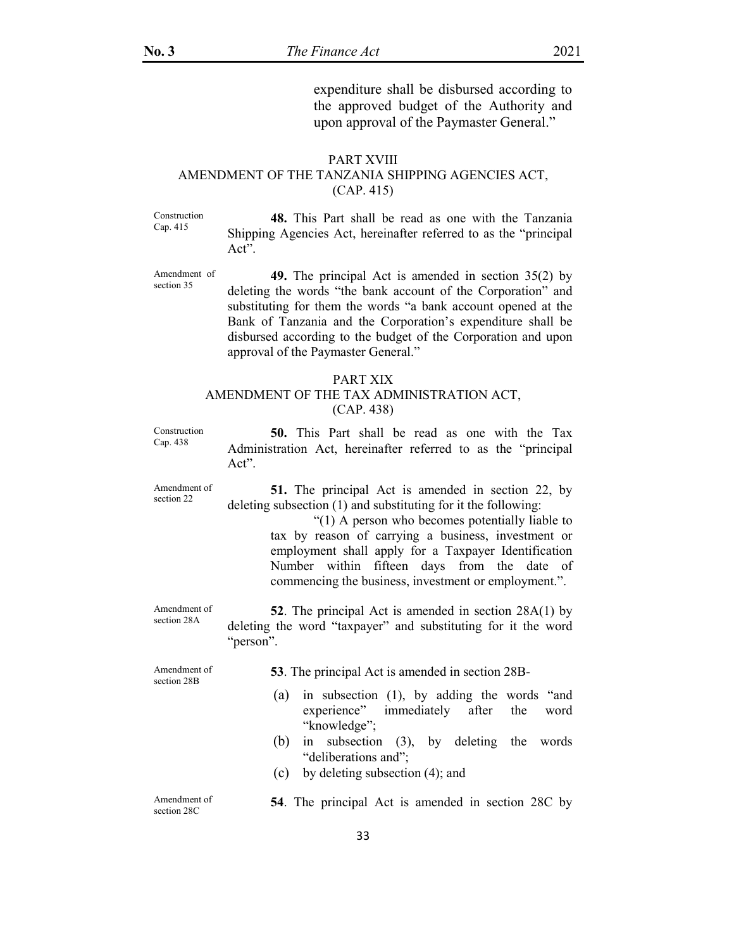expenditure shall be disbursed according to the approved budget of the Authority and upon approval of the Paymaster General."

#### PART XVIII

# AMENDMENT OF THE TANZANIA SHIPPING AGENCIES ACT, (CAP. 415)

Construction Cap. 415

**48.** This Part shall be read as one with the Tanzania Shipping Agencies Act, hereinafter referred to as the "principal Act".

Amendment of section 35

**49.** The principal Act is amended in section 35(2) by deleting the words "the bank account of the Corporation" and substituting for them the words "a bank account opened at the Bank of Tanzania and the Corporation's expenditure shall be disbursed according to the budget of the Corporation and upon approval of the Paymaster General."

#### PART XIX AMENDMENT OF THE TAX ADMINISTRATION ACT, (CAP. 438)

Construction Cap. 438

**50.** This Part shall be read as one with the Tax Administration Act, hereinafter referred to as the "principal Act".

Amendment of section 22

**51.** The principal Act is amended in section 22, by deleting subsection (1) and substituting for it the following:

> "(1) A person who becomes potentially liable to tax by reason of carrying a business, investment or employment shall apply for a Taxpayer Identification Number within fifteen days from the date of commencing the business, investment or employment.".

Amendment of section 28A **52**. The principal Act is amended in section 28A(1) by deleting the word "taxpayer" and substituting for it the word "person".

Amendment of section 28B

**53**. The principal Act is amended in section 28B-

- (a) in subsection (1), by adding the words "and experience" immediately after the word "knowledge";
- (b) in subsection (3), by deleting the words "deliberations and";
- (c) by deleting subsection (4); and

| Amendment of |  |  | 54. The principal Act is amended in section 28C by |  |  |
|--------------|--|--|----------------------------------------------------|--|--|
| section 28C  |  |  |                                                    |  |  |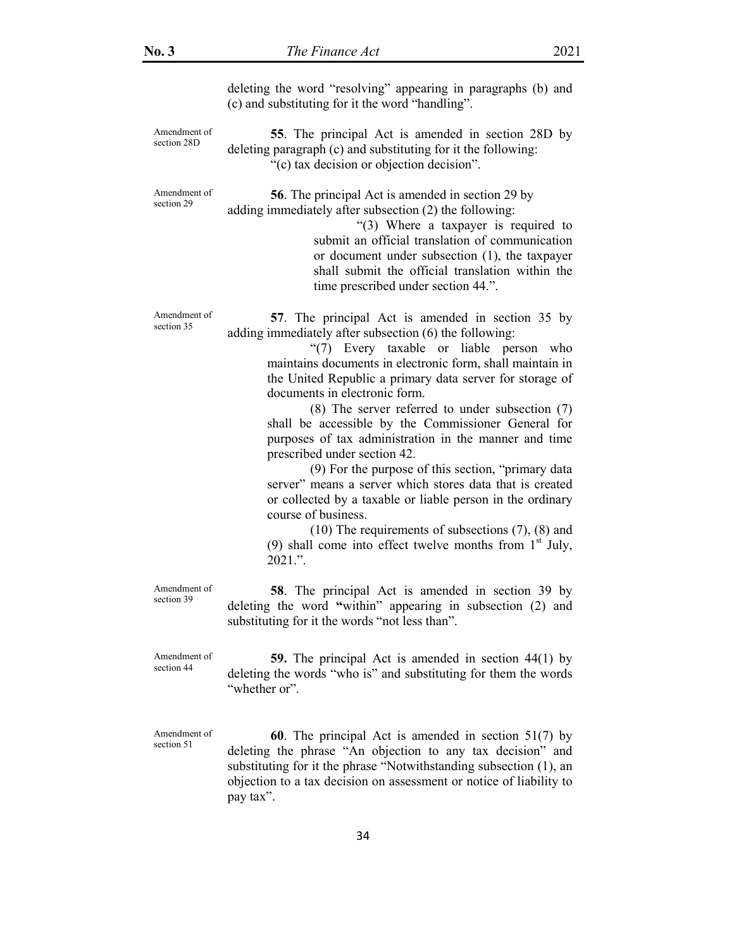deleting the word "resolving" appearing in paragraphs (b) and (c) and substituting for it the word "handling".

Amendment of section 28D

Amendment of section 29

Amendment of section 35

**55**. The principal Act is amended in section 28D by deleting paragraph (c) and substituting for it the following: "(c) tax decision or objection decision".

**56**. The principal Act is amended in section 29 by adding immediately after subsection (2) the following:

> "(3) Where a taxpayer is required to submit an official translation of communication or document under subsection (1), the taxpayer shall submit the official translation within the time prescribed under section 44.".

**57**. The principal Act is amended in section 35 by adding immediately after subsection (6) the following:

> "(7) Every taxable or liable person who maintains documents in electronic form, shall maintain in the United Republic a primary data server for storage of documents in electronic form.

> (8) The server referred to under subsection (7) shall be accessible by the Commissioner General for purposes of tax administration in the manner and time prescribed under section 42.

> (9) For the purpose of this section, "primary data server" means a server which stores data that is created or collected by a taxable or liable person in the ordinary course of business.

> (10) The requirements of subsections (7), (8) and (9) shall come into effect twelve months from  $1<sup>st</sup>$  July, 2021.".

Amendment of section 39

**58**. The principal Act is amended in section 39 by deleting the word **"**within" appearing in subsection (2) and substituting for it the words "not less than".

Amendment of section 44

**59.** The principal Act is amended in section 44(1) by deleting the words "who is" and substituting for them the words "whether or".

Amendment of section 51

**60**. The principal Act is amended in section 51(7) by deleting the phrase "An objection to any tax decision" and substituting for it the phrase "Notwithstanding subsection (1), an objection to a tax decision on assessment or notice of liability to pay tax".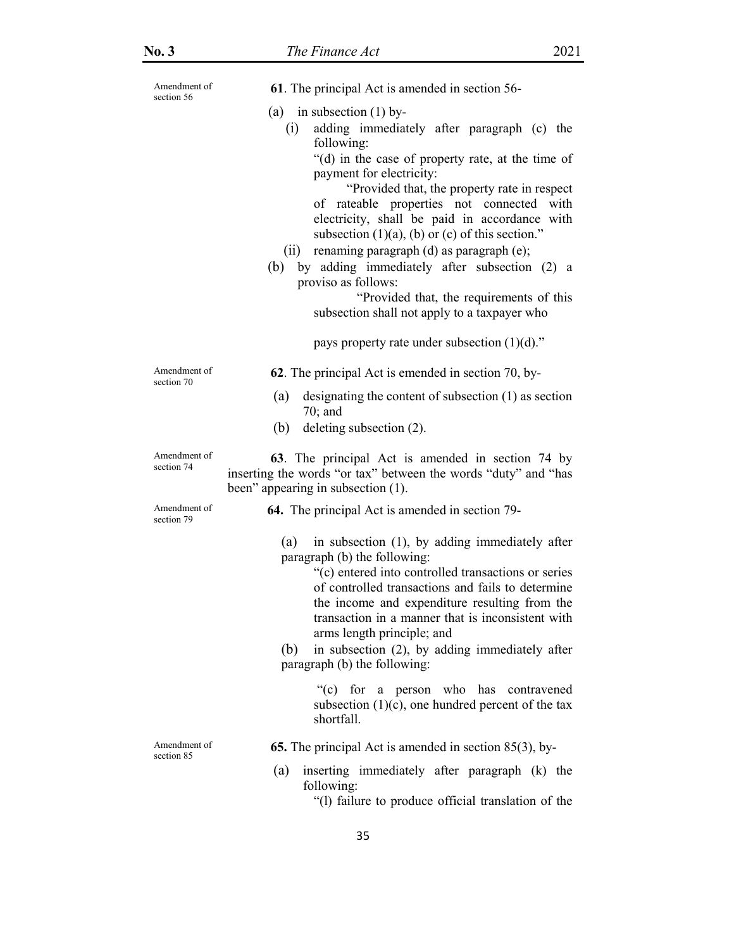| Amendment of<br>section 56 | 61. The principal Act is amended in section 56-                                                                                                                                                                                                                                                                                                                                                                                                                                                                                                                                                                        |
|----------------------------|------------------------------------------------------------------------------------------------------------------------------------------------------------------------------------------------------------------------------------------------------------------------------------------------------------------------------------------------------------------------------------------------------------------------------------------------------------------------------------------------------------------------------------------------------------------------------------------------------------------------|
|                            | (a) in subsection $(1)$ by-<br>adding immediately after paragraph (c) the<br>(i)<br>following:<br>"(d) in the case of property rate, at the time of<br>payment for electricity:<br>"Provided that, the property rate in respect"<br>of rateable properties not connected with<br>electricity, shall be paid in accordance with<br>subsection $(1)(a)$ , $(b)$ or $(c)$ of this section."<br>renaming paragraph (d) as paragraph (e);<br>(ii)<br>by adding immediately after subsection (2) a<br>(b)<br>proviso as follows:<br>"Provided that, the requirements of this<br>subsection shall not apply to a taxpayer who |
|                            | pays property rate under subsection $(1)(d)$ ."                                                                                                                                                                                                                                                                                                                                                                                                                                                                                                                                                                        |
| Amendment of<br>section 70 | 62. The principal Act is emended in section 70, by-                                                                                                                                                                                                                                                                                                                                                                                                                                                                                                                                                                    |
|                            | designating the content of subsection $(1)$ as section<br>(a)<br>$70$ ; and                                                                                                                                                                                                                                                                                                                                                                                                                                                                                                                                            |
|                            | (b)<br>deleting subsection (2).                                                                                                                                                                                                                                                                                                                                                                                                                                                                                                                                                                                        |
| Amendment of<br>section 74 | 63. The principal Act is amended in section 74 by<br>inserting the words "or tax" between the words "duty" and "has<br>been" appearing in subsection (1).                                                                                                                                                                                                                                                                                                                                                                                                                                                              |
| Amendment of<br>section 79 | <b>64.</b> The principal Act is amended in section 79-                                                                                                                                                                                                                                                                                                                                                                                                                                                                                                                                                                 |
|                            | in subsection (1), by adding immediately after<br>(a)<br>paragraph (b) the following:<br>"(c) entered into controlled transactions or series<br>of controlled transactions and fails to determine<br>the income and expenditure resulting from the<br>transaction in a manner that is inconsistent with<br>arms length principle; and<br>in subsection (2), by adding immediately after<br>(b)<br>paragraph (b) the following:                                                                                                                                                                                         |
|                            | "(c) for a person who has contravened<br>subsection $(1)(c)$ , one hundred percent of the tax<br>shortfall.                                                                                                                                                                                                                                                                                                                                                                                                                                                                                                            |
| Amendment of<br>section 85 | <b>65.</b> The principal Act is amended in section $85(3)$ , by-                                                                                                                                                                                                                                                                                                                                                                                                                                                                                                                                                       |
|                            | inserting immediately after paragraph (k) the<br>(a)<br>following:                                                                                                                                                                                                                                                                                                                                                                                                                                                                                                                                                     |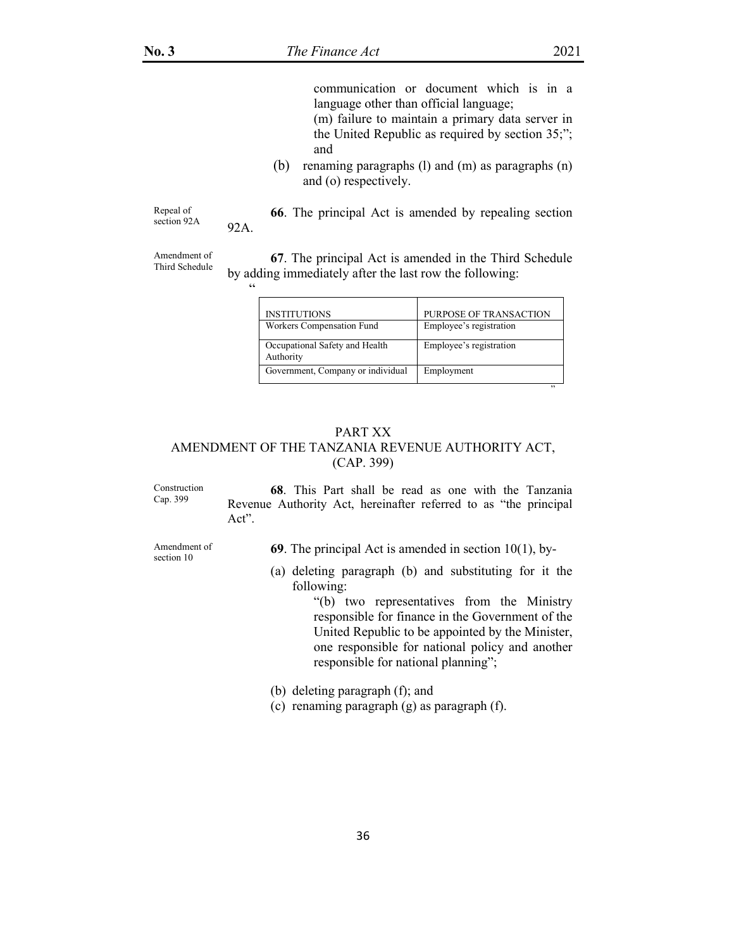communication or document which is in a language other than official language;

(m) failure to maintain a primary data server in the United Republic as required by section 35;"; and

(b) renaming paragraphs (l) and (m) as paragraphs (n) and (o) respectively.

Repeal of section 92A **66**. The principal Act is amended by repealing section 92A.

Amendment of Third Schedule

"

**67**. The principal Act is amended in the Third Schedule by adding immediately after the last row the following:

| <b>INSTITUTIONS</b>                         | PURPOSE OF TRANSACTION  |
|---------------------------------------------|-------------------------|
| Workers Compensation Fund                   | Employee's registration |
| Occupational Safety and Health<br>Authority | Employee's registration |
| Government, Company or individual           | Employment              |

 $\mathcal{D}$ 

# PART XX AMENDMENT OF THE TANZANIA REVENUE AUTHORITY ACT, (CAP. 399)

Construction Cap. 399

**68**. This Part shall be read as one with the Tanzania Revenue Authority Act, hereinafter referred to as "the principal Act".

Amendment of section 10

**69**. The principal Act is amended in section 10(1), by-

(a) deleting paragraph (b) and substituting for it the following:

> "(b) two representatives from the Ministry responsible for finance in the Government of the United Republic to be appointed by the Minister, one responsible for national policy and another responsible for national planning";

(b) deleting paragraph (f); and

(c) renaming paragraph (g) as paragraph (f).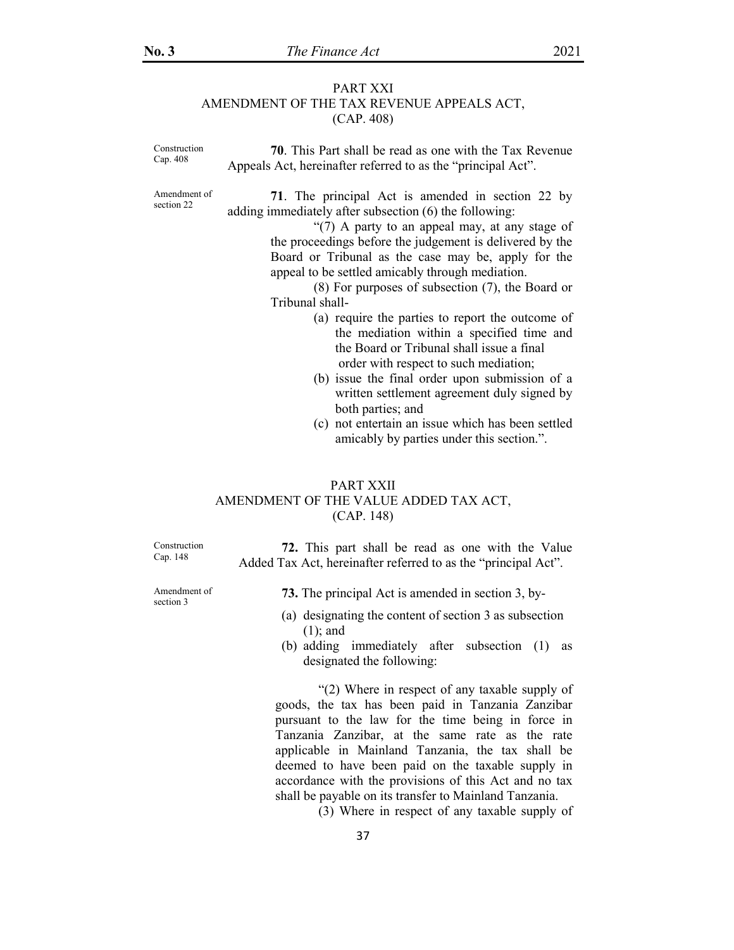# PART XXI AMENDMENT OF THE TAX REVENUE APPEALS ACT, (CAP. 408)

Construction Cap. 408 **70**. This Part shall be read as one with the Tax Revenue Appeals Act, hereinafter referred to as the "principal Act". Amendment of section 22 **71**. The principal Act is amended in section 22 by adding immediately after subsection (6) the following: "(7) A party to an appeal may, at any stage of the proceedings before the judgement is delivered by the Board or Tribunal as the case may be, apply for the

appeal to be settled amicably through mediation. (8) For purposes of subsection (7), the Board or

Tribunal shall-

- (a) require the parties to report the outcome of the mediation within a specified time and the Board or Tribunal shall issue a final order with respect to such mediation;
- (b) issue the final order upon submission of a written settlement agreement duly signed by both parties; and
- (c) not entertain an issue which has been settled amicably by parties under this section.".

# PART XXII AMENDMENT OF THE VALUE ADDED TAX ACT, (CAP. 148)

Construction Cap. 148

Amendment of section 3

- **72.** This part shall be read as one with the Value Added Tax Act, hereinafter referred to as the "principal Act".
	- **73.** The principal Act is amended in section 3, by-
	- (a) designating the content of section 3 as subsection (1); and
	- (b) adding immediately after subsection (1) as designated the following:

 "(2) Where in respect of any taxable supply of goods, the tax has been paid in Tanzania Zanzibar pursuant to the law for the time being in force in Tanzania Zanzibar, at the same rate as the rate applicable in Mainland Tanzania, the tax shall be deemed to have been paid on the taxable supply in accordance with the provisions of this Act and no tax shall be payable on its transfer to Mainland Tanzania.

(3) Where in respect of any taxable supply of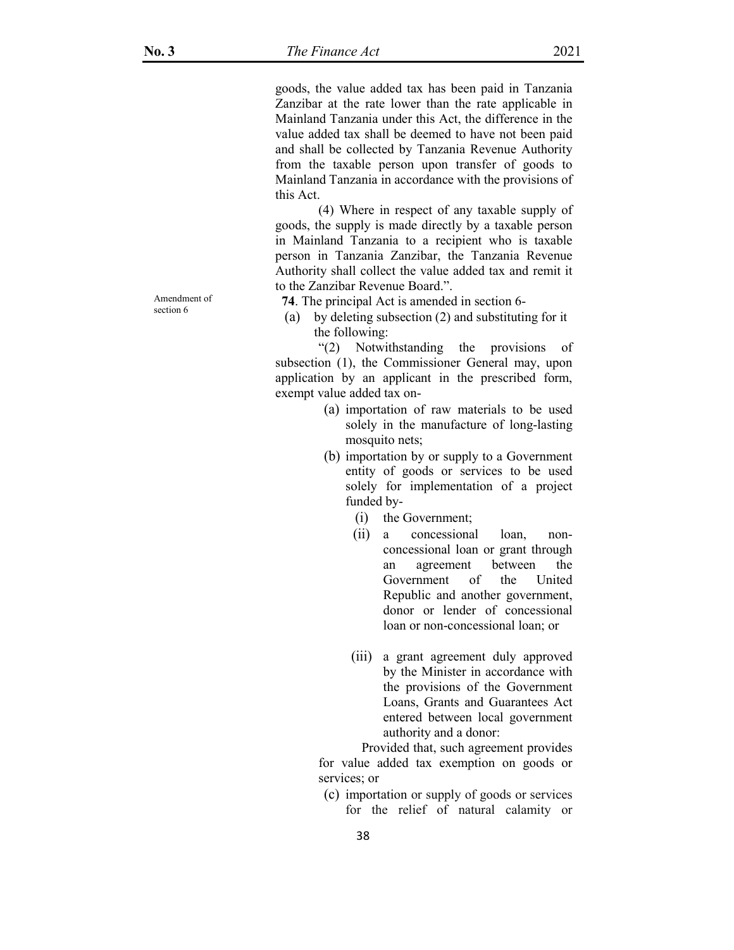goods, the value added tax has been paid in Tanzania Zanzibar at the rate lower than the rate applicable in Mainland Tanzania under this Act, the difference in the value added tax shall be deemed to have not been paid and shall be collected by Tanzania Revenue Authority from the taxable person upon transfer of goods to Mainland Tanzania in accordance with the provisions of this Act.

 (4) Where in respect of any taxable supply of goods, the supply is made directly by a taxable person in Mainland Tanzania to a recipient who is taxable person in Tanzania Zanzibar, the Tanzania Revenue Authority shall collect the value added tax and remit it to the Zanzibar Revenue Board.".

**74**. The principal Act is amended in section 6-

(a) by deleting subsection (2) and substituting for it the following:

 "(2) Notwithstanding the provisions of subsection (1), the Commissioner General may, upon application by an applicant in the prescribed form, exempt value added tax on-

- (a) importation of raw materials to be used solely in the manufacture of long-lasting mosquito nets;
- (b) importation by or supply to a Government entity of goods or services to be used solely for implementation of a project funded by-
	- (i) the Government;
	- (ii) a concessional loan, nonconcessional loan or grant through an agreement between the Government of the United Republic and another government, donor or lender of concessional loan or non-concessional loan; or
	- (iii) a grant agreement duly approved by the Minister in accordance with the provisions of the Government Loans, Grants and Guarantees Act entered between local government authority and a donor:

 Provided that, such agreement provides for value added tax exemption on goods or services; or

(c) importation or supply of goods or services for the relief of natural calamity or

Amendment of section 6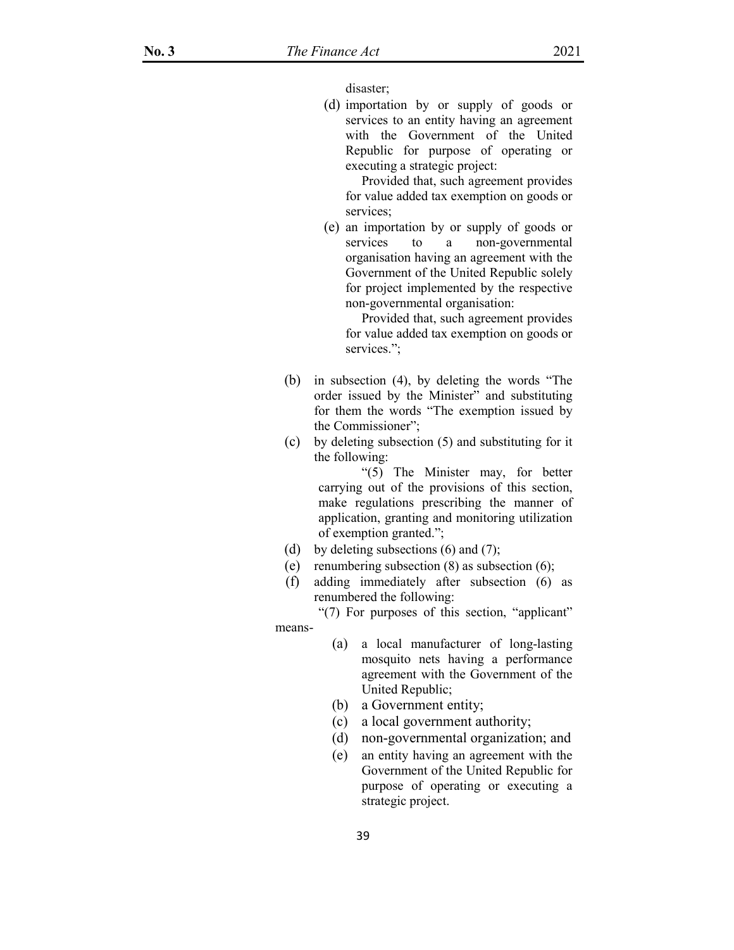disaster;

(d) importation by or supply of goods or services to an entity having an agreement with the Government of the United Republic for purpose of operating or executing a strategic project:

 Provided that, such agreement provides for value added tax exemption on goods or services;

(e) an importation by or supply of goods or services to a non-governmental organisation having an agreement with the Government of the United Republic solely for project implemented by the respective non-governmental organisation:

 Provided that, such agreement provides for value added tax exemption on goods or services.";

- (b) in subsection (4), by deleting the words "The order issued by the Minister" and substituting for them the words "The exemption issued by the Commissioner";
- (c) by deleting subsection (5) and substituting for it the following:

 "(5) The Minister may, for better carrying out of the provisions of this section, make regulations prescribing the manner of application, granting and monitoring utilization of exemption granted.";

- (d) by deleting subsections  $(6)$  and  $(7)$ ;
- (e) renumbering subsection (8) as subsection (6);
- (f) adding immediately after subsection (6) as renumbered the following:

 "(7) For purposes of this section, "applicant" means-

- (a) a local manufacturer of long-lasting mosquito nets having a performance agreement with the Government of the United Republic;
- (b) a Government entity;
- (c) a local government authority;
- (d) non-governmental organization; and
- (e) an entity having an agreement with the Government of the United Republic for purpose of operating or executing a strategic project.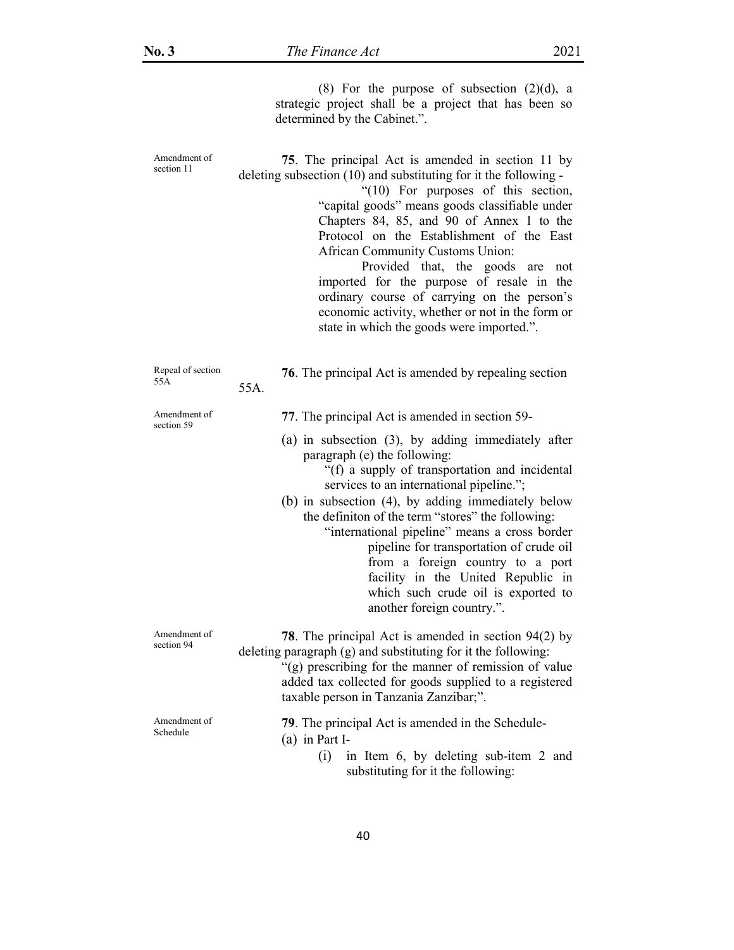(8) For the purpose of subsection  $(2)(d)$ , a strategic project shall be a project that has been so determined by the Cabinet.".

| Amendment of<br>section 11 | 75. The principal Act is amended in section 11 by<br>deleting subsection (10) and substituting for it the following -<br>" $(10)$ For purposes of this section,<br>"capital goods" means goods classifiable under<br>Chapters 84, 85, and 90 of Annex 1 to the<br>Protocol on the Establishment of the East<br>African Community Customs Union:<br>Provided that, the<br>goods<br>are<br>not<br>imported for the purpose of resale in the<br>ordinary course of carrying on the person's<br>economic activity, whether or not in the form or<br>state in which the goods were imported.". |
|----------------------------|-------------------------------------------------------------------------------------------------------------------------------------------------------------------------------------------------------------------------------------------------------------------------------------------------------------------------------------------------------------------------------------------------------------------------------------------------------------------------------------------------------------------------------------------------------------------------------------------|
| Repeal of section<br>55A   | 76. The principal Act is amended by repealing section<br>55A.                                                                                                                                                                                                                                                                                                                                                                                                                                                                                                                             |
| Amendment of<br>section 59 | 77. The principal Act is amended in section 59-                                                                                                                                                                                                                                                                                                                                                                                                                                                                                                                                           |
|                            | $(a)$ in subsection $(3)$ , by adding immediately after<br>paragraph (e) the following:<br>"(f) a supply of transportation and incidental<br>services to an international pipeline.";<br>(b) in subsection (4), by adding immediately below<br>the definition of the term "stores" the following:<br>"international pipeline" means a cross border<br>pipeline for transportation of crude oil<br>from a foreign country to a port<br>facility in the United Republic in<br>which such crude oil is exported to<br>another foreign country.".                                             |
| Amendment of<br>section 94 | <b>78</b> . The principal Act is amended in section $94(2)$ by<br>deleting paragraph (g) and substituting for it the following:<br>"(g) prescribing for the manner of remission of value<br>added tax collected for goods supplied to a registered<br>taxable person in Tanzania Zanzibar;".                                                                                                                                                                                                                                                                                              |
| Amendment of<br>Schedule   | 79. The principal Act is amended in the Schedule-<br>$(a)$ in Part I-<br>(i)<br>in Item 6, by deleting sub-item 2 and<br>substituting for it the following:                                                                                                                                                                                                                                                                                                                                                                                                                               |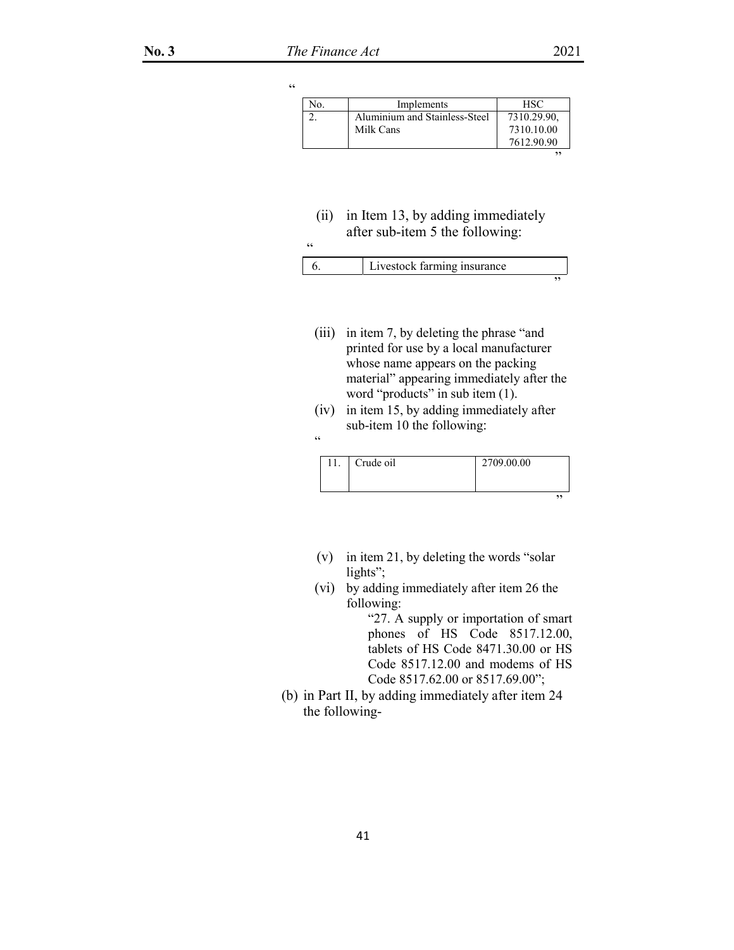| $\epsilon$ |     |                               |             |
|------------|-----|-------------------------------|-------------|
|            | N0. | Implements                    | HSC         |
|            |     | Aluminium and Stainless-Steel | 7310.29.90. |
|            |     | Milk Cans                     | 7310.10.00  |
|            |     |                               | 7612.90.90  |
|            |     |                               | ,,          |
|            |     |                               |             |

(ii) in Item 13, by adding immediately after sub-item 5 the following:  $\ddot{\epsilon}$ 

| Livestock farming insurance |  |
|-----------------------------|--|
|                             |  |

- (iii) in item 7, by deleting the phrase "and printed for use by a local manufacturer whose name appears on the packing material" appearing immediately after the word "products" in sub item (1).
- (iv) in item 15, by adding immediately after sub-item 10 the following:

|  | C |
|--|---|
|  |   |

| 11. | Crude oil | 2709.00.00 |    |
|-----|-----------|------------|----|
|     |           |            | ,, |

- (v) in item 21, by deleting the words "solar lights";
- (vi) by adding immediately after item 26 the following:

"27. A supply or importation of smart phones of HS Code 8517.12.00, tablets of HS Code 8471.30.00 or HS Code 8517.12.00 and modems of HS Code 8517.62.00 or 8517.69.00";

(b) in Part II, by adding immediately after item 24 the following-